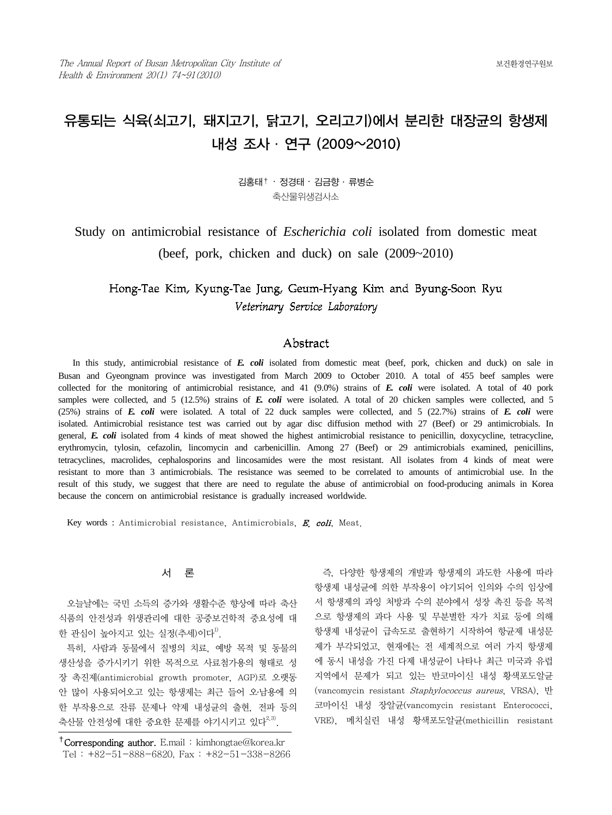## 유통되는 식육(쇠고기, 돼지고기, 닭고기, 오리고기)에서 분리한 대장균의 항생제 내성 조사 ․ 연구 (2009~2010)

김홍태† ‧ 정경태 ‧ 김금향 ․ 류병순 축산물위생검사소

Study on antimicrobial resistance of *Escherichia coli* isolated from domestic meat (beef, pork, chicken and duck) on sale (2009~2010)

### Hong-Tae Kim, Kyung-Tae Jung, Geum-Hyang Kim and Byung-Soon Ryu Veterinary Service Laboratory

### Abstract

 In this study, antimicrobial resistance of *E. coli* isolated from domestic meat (beef, pork, chicken and duck) on sale in Busan and Gyeongnam province was investigated from March 2009 to October 2010. A total of 455 beef samples were collected for the monitoring of antimicrobial resistance, and 41 (9.0%) strains of *E. coli* were isolated. A total of 40 pork samples were collected, and 5 (12.5%) strains of *E. coli* were isolated. A total of 20 chicken samples were collected, and 5 (25%) strains of *E. coli* were isolated. A total of 22 duck samples were collected, and 5 (22.7%) strains of *E. coli* were isolated. Antimicrobial resistance test was carried out by agar disc diffusion method with 27 (Beef) or 29 antimicrobials. In general, *E. coli* isolated from 4 kinds of meat showed the highest antimicrobial resistance to penicillin, doxycycline, tetracycline, erythromycin, tylosin, cefazolin, lincomycin and carbenicillin. Among 27 (Beef) or 29 antimicrobials examined, penicillins, tetracyclines, macrolides, cephalosporins and lincosamides were the most resistant. All isolates from 4 kinds of meat were resistant to more than 3 antimicrobials. The resistance was seemed to be correlated to amounts of antimicrobial use. In the result of this study, we suggest that there are need to regulate the abuse of antimicrobial on food-producing animals in Korea because the concern on antimicrobial resistance is gradually increased worldwide.

Key words : Antimicrobial resistance, Antimicrobials, E. coli, Meat.

### 서 론

오늘날에는 국민 소득의 증가와 생활수준 향상에 따라 축산 식품의 안전성과 위생관리에 대한 공중보건학적 중요성에 대 한 관심이 높아지고 있는 실정(추세)이다<sup>1)</sup>.

 특히, 사람과 동물에서 질병의 치료, 예방 목적 및 동물의 생산성을 증가시키기 위한 목적으로 사료첨가용의 형태로 성 장 촉진제(antimicrobial growth promoter, AGP)로 오랫동 안 많이 사용되어오고 있는 항생제는 최근 들어 오․남용에 의 한 부작용으로 잔류 문제나 약제 내성균의 출현, 전파 등의 축산물 안전성에 대한 중요한 문제를 야기시키고 있다<sup>2,3)</sup>.

 즉, 다양한 항생제의 개발과 항생제의 과도한 사용에 따라 항생제 내성균에 의한 부작용이 야기되어 인의와 수의 임상에 서 항생제의 과잉 처방과 수의 분야에서 성장 촉진 등을 목적 으로 항생제의 과다 사용 및 무분별한 자가 치료 등에 의해 항생제 내성균이 급속도로 출현하기 시작하여 항균제 내성문 제가 부각되었고, 현재에는 전 세계적으로 여러 가지 항생제 에 동시 내성을 가진 다제 내성균이 나타나 최근 미국과 유럽 지역에서 문제가 되고 있는 반코마이신 내성 황색포도알균 (vancomycin resistant Staphylococcus aureus, VRSA), 반 코마이신 내성 장알균(vancomycin resistant Enterococci, VRE), 메치실린 내성 황색포도알균(methicillin resistant

<sup>&</sup>lt;sup>†</sup>Corresponding author. E.mail: kimhongtae@korea.kr Tel : +82-51-888-6820, Fax : +82-51-338-8266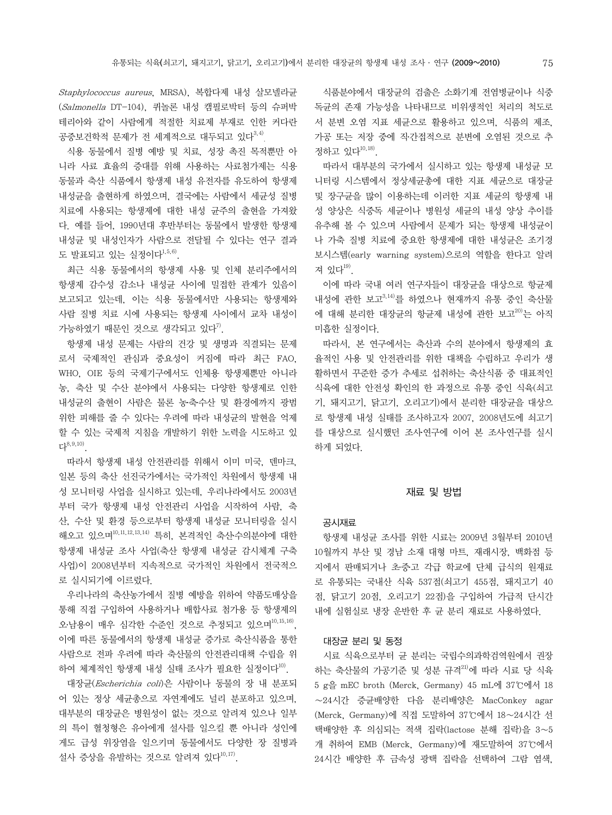Staphylococcus aureus, MRSA), 복합다제 내성 살모넬라균 (Salmonella DT-104), 퀴놀론 내성 캠필로박터 등의 슈퍼박 테리아와 같이 사람에게 적절한 치료제 부재로 인한 커다란 공중보건학적 문제가 전 세계적으로 대두되고 있다<sup>3,4)</sup>.

 식용 동물에서 질병 예방 및 치료, 성장 촉진 목적뿐만 아 니라 사료 효율의 증대를 위해 사용하는 사료첨가제는 식용 동물과 축산 식품에서 항생제 내성 유전자를 유도하여 항생제 내성균을 출현하게 하였으며, 결국에는 사람에서 세균성 질병 치료에 사용되는 항생제에 대한 내성 균주의 출현을 가져왔 다. 예를 들어, 1990년대 후반부터는 동물에서 발생한 항생제 내성균 및 내성인자가 사람으로 전달될 수 있다는 연구 결과 도 발표되고 있는 실정이다 $^{1,5,6)}$ .

 최근 식용 동물에서의 항생제 사용 및 인체 분리주에서의 항생제 감수성 감소나 내성균 사이에 밀접한 관계가 있음이 보고되고 있는데, 이는 식용 동물에서만 사용되는 항생제와 사람 질병 치료 시에 사용되는 항생제 사이에서 교차 내성이 가능하였기 때문인 것으로 생각되고 있다".

 항생제 내성 문제는 사람의 건강 및 생명과 직결되는 문제 로서 국제적인 관심과 중요성이 커짐에 따라 최근 FAO, WHO, OIE 등의 국제기구에서도 인체용 항생제뿐만 아니라 농, 축산 및 수산 분야에서 사용되는 다양한 항생제로 인한 내성균의 출현이 사람은 물론 농축수산 및 환경에까지 광범 위한 피해를 줄 수 있다는 우려에 따라 내성균의 발현을 억제 할 수 있는 국제적 지침을 개발하기 위한 노력을 시도하고 있 다8,9,10).

 따라서 항생제 내성 안전관리를 위해서 이미 미국, 덴마크, 일본 등의 축산 선진국가에서는 국가적인 차원에서 항생제 내 성 모니터링 사업을 실시하고 있는데, 우리나라에서도 2003년 부터 국가 항생제 내성 안전관리 사업을 시작하여 사람, 축 산, 수산 및 환경 등으로부터 항생제 내성균 모니터링을 실시 해오고 있으며10,11,12,13,14) 특히, 본격적인 축산수의분야에 대한 항생제 내성균 조사 사업(축산 항생제 내성균 감시체계 구축 사업)이 2008년부터 지속적으로 국가적인 차원에서 전국적으 로 실시되기에 이르렀다.

 우리나라의 축산농가에서 질병 예방을 위하여 약품도매상을 통해 직접 구입하여 사용하거나 배합사료 첨가용 등 항생제의 오․남용이 매우 심각한 수준인 것으로 추정되고 있으며10,15,16), 이에 따른 동물에서의 항생제 내성균 증가로 축산식품을 통한 사람으로 전파 우려에 따라 축산물의 안전관리대책 수립을 위 하여 체계적인 항생제 내성 실태 조사가 필요한 실정이다<sup>10)</sup>.

 대장균(Escherichia coli)은 사람이나 동물의 장 내 분포되 어 있는 정상 세균총으로 자연계에도 널리 분포하고 있으며, 대부분의 대장균은 병원성이 없는 것으로 알려져 있으나 일부 의 특이 혈청형은 유아에게 설사를 일으킬 뿐 아니라 성인에 게도 급성 위장염을 일으키며 동물에서도 다양한 장 질병과 설사 증상을 유발하는 것으로 알려져 있다 $^{10,17)}$ .

 식품분야에서 대장균의 검출은 소화기계 전염병균이나 식중 독균의 존재 가능성을 나타내므로 비위생적인 처리의 척도로 서 분변 오염 지표 세균으로 활용하고 있으며, 식품의 제조, 가공 또는 저장 중에 직․간접적으로 분변에 오염된 것으로 추 정하고 있다10,18).

 따라서 대부분의 국가에서 실시하고 있는 항생제 내성균 모 니터링 시스템에서 정상세균총에 대한 지표 세균으로 대장균 및 장구균을 많이 이용하는데 이러한 지표 세균의 항생제 내 성 양상은 식중독 세균이나 병원성 세균의 내성 양상 추이를 유추해 볼 수 있으며 사람에서 문제가 되는 항생제 내성균이 나 가축 질병 치료에 중요한 항생제에 대한 내성균은 조기경 보시스템(early warning system)으로의 역할을 한다고 알려 져 있다<sup>19)</sup>.

 이에 따라 국내 여러 연구자들이 대장균을 대상으로 항균제 내성에 관한 보고 $^{3,14)}$ 를 하였으나 현재까지 유통 중인 축산물 에 대해 분리한 대장균의 항균제 내성에 관한 보고<sup>20)</sup>는 아직 미흡한 실정이다.

 따라서, 본 연구에서는 축산과 수의 분야에서 항생제의 효 율적인 사용 및 안전관리를 위한 대책을 수립하고 우리가 생 활하면서 꾸준한 증가 추세로 섭취하는 축산식품 중 대표적인 식육에 대한 안전성 확인의 한 과정으로 유통 중인 식육(쇠고 기, 돼지고기, 닭고기, 오리고기)에서 분리한 대장균을 대상으 로 항생제 내성 실태를 조사하고자 2007, 2008년도에 쇠고기 를 대상으로 실시했던 조사연구에 이어 본 조사연구를 실시 하게 되었다.

### 재료 및 방법

### 공시재료

항생제 내성균 조사를 위한 시료는 2009년 3월부터 2010년 10월까지 부산 및 경남 소재 대형 마트, 재래시장, 백화점 등 지에서 판매되거나 초․중․고 각급 학교에 단체 급식의 원재료 로 유통되는 국내산 식육 537점(쇠고기 455점, 돼지고기 40 점, 닭고기 20점, 오리고기 22점)을 구입하여 가급적 단시간 내에 실험실로 냉장 운반한 후 균 분리 재료로 사용하였다.

### 대장균 분리 및 동정

시료 식육으로부터 균 분리는 국립수의과학검역원에서 권장 하는 축산물의 가공기준 및 성분 규격<sup>21)</sup>에 따라 시료 당 식육 5 g을 mEC broth (Merck, Germany) 45 mL에 37℃에서 18 ∼24시간 증균배양한 다음 분리배양은 MacConkey agar (Merck, Germany)에 직접 도말하여 37℃에서 18∼24시간 선 택배양한 후 의심되는 적색 집락(lactose 분해 집락)을 3∼5 개 취하여 EMB (Merck, Germany)에 재도말하여 37℃에서 24시간 배양한 후 금속성 광택 집락을 선택하여 그람 염색,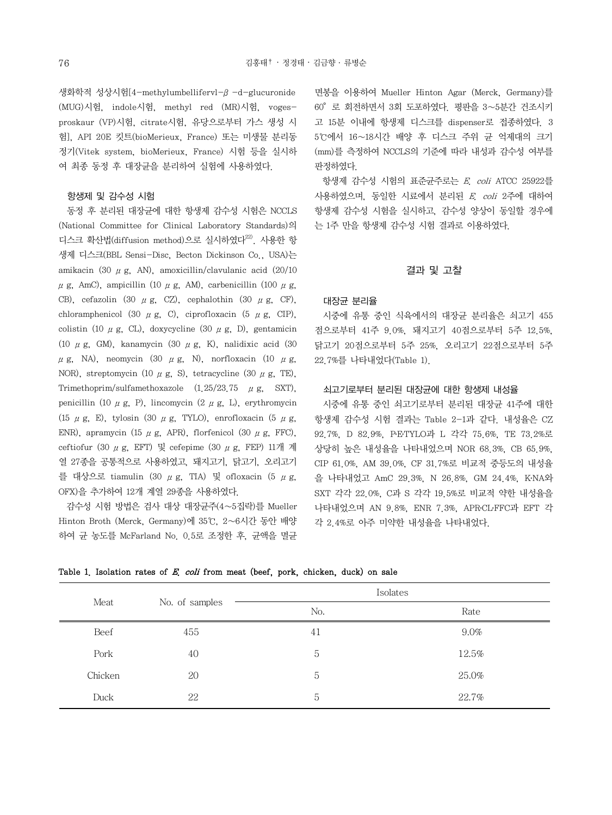생화학적 성상시험[4-methylumbellifervl-β-d-glucuronide (MUG)시험, indole시험, methyl red (MR)시험, vogesproskaur (VP)시험, citrate시험, 유당으로부터 가스 생성 시 험], API 20E 킷트(bioMerieux, France) 또는 미생물 분리동 정기(Vitek system, bioMerieux, France) 시험 등을 실시하 여 최종 동정 후 대장균을 분리하여 실험에 사용하였다.

### 항생제 및 감수성 시험

동정 후 분리된 대장균에 대한 항생제 감수성 시험은 NCCLS (National Committee for Clinical Laboratory Standards)의 디스크 확산법(diffusion method)으로 실시하였다 $^{22}$ . 사용한 항 생제 디스크(BBL Sensi-Disc, Becton Dickinson Co., USA)는 amikacin (30  $\mu$  g, AN), amoxicillin/clavulanic acid (20/10  $\mu$  g, AmC), ampicillin (10  $\mu$  g, AM), carbenicillin (100  $\mu$  g, CB), cefazolin (30  $\mu$  g, CZ), cephalothin (30  $\mu$  g, CF), chloramphenicol (30  $\mu$  g, C), ciprofloxacin (5  $\mu$  g, CIP), colistin (10  $\mu$  g, CL), doxycycline (30  $\mu$  g, D), gentamicin (10  $\mu$  g, GM), kanamycin (30  $\mu$  g, K), nalidixic acid (30  $\mu$ g, NA), neomycin (30  $\mu$ g, N), norfloxacin (10  $\mu$ g, NOR), streptomycin (10  $\mu$  g, S), tetracycline (30  $\mu$  g, TE), Trimethoprim/sulfamethoxazole  $(1.25/23.75 \mu g, SXT)$ , penicillin (10  $\mu$  g, P), lincomycin (2  $\mu$  g, L), erythromycin (15  $\mu$  g, E), tylosin (30  $\mu$  g, TYLO), enrofloxacin (5  $\mu$  g, ENR), apramycin (15  $\mu$  g, APR), florfenicol (30  $\mu$  g, FFC), ceftiofur (30 μg, EFT) 및 cefepime (30 μg, FEP) 11개 계 열 27종을 공통적으로 사용하였고, 돼지고기, 닭고기, 오리고기 를 대상으로 tiamulin (30 μg, TIA) 및 ofloxacin (5 μg, OFX)을 추가하여 12개 계열 29종을 사용하였다.

 감수성 시험 방법은 검사 대상 대장균주(4∼5집락)를 Mueller Hinton Broth (Merck, Germany)에 35℃, 2∼6시간 동안 배양 하여 균 농도를 McFarland No. 0.5로 조정한 후, 균액을 멸균 면봉을 이용하여 Mueller Hinton Agar (Merck, Germany)를 60°로 회전하면서 3회 도포하였다. 평판을 3∼5분간 건조시키 고 15분 이내에 항생제 디스크를 dispenser로 접종하였다. 3 5℃에서 16∼18시간 배양 후 디스크 주위 균 억제대의 크기 (mm)를 측정하여 NCCLS의 기준에 따라 내성과 감수성 여부를 판정하였다.

 항생제 감수성 시험의 표준균주로는 E. coli ATCC 25922를 사용하였으며, 동일한 시료에서 분리된 E. coli 2주에 대하여 항생제 감수성 시험을 실시하고, 감수성 양상이 동일할 경우에 는 1주 만을 항생제 감수성 시험 결과로 이용하였다.

### 결과 및 고찰

#### 대장균 분리율

시중에 유통 중인 식육에서의 대장균 분리율은 쇠고기 455 점으로부터 41주 9.0%, 돼지고기 40점으로부터 5주 12.5%, 닭고기 20점으로부터 5주 25%, 오리고기 22점으로부터 5주 22.7%를 나타내었다(Table 1).

### 쇠고기로부터 분리된 대장균에 대한 항생제 내성율

 시중에 유통 중인 쇠고기로부터 분리된 대장균 41주에 대한 항생제 감수성 시험 결과는 Table 2-1과 같다. 내성율은 CZ 92.7%, D 82.9%, PETYLO과 L 각각 75.6%, TE 73.2%로 상당히 높은 내성율을 나타내었으며 NOR 68.3%, CB 65.9%, CIP 61.0%, AM 39.0%, CF 31.7%로 비교적 중등도의 내성율 을 나타내었고 AmC 29.3%, N 26.8%, GM 24.4%, K․NA와 SXT 각각 22.0%, C과 S 각각 19.5%로 비교적 약한 내성율을 나타내었으며 AN 9.8%, ENR 7.3%, APRCLFFC과 EFT 각 각 2.4%로 아주 미약한 내성율을 나타내었다.

| Meat    |                |     | Isolates |
|---------|----------------|-----|----------|
|         | No. of samples | No. | Rate     |
| Beef    | 455            | 41  | $9.0\%$  |
| Pork    | 40             | 5   | 12.5%    |
| Chicken | 20             | 5   | 25.0%    |
| Duck    | 22             | 5   | 22.7%    |

Table 1. Isolation rates of  $E$ , coli from meat (beef, pork, chicken, duck) on sale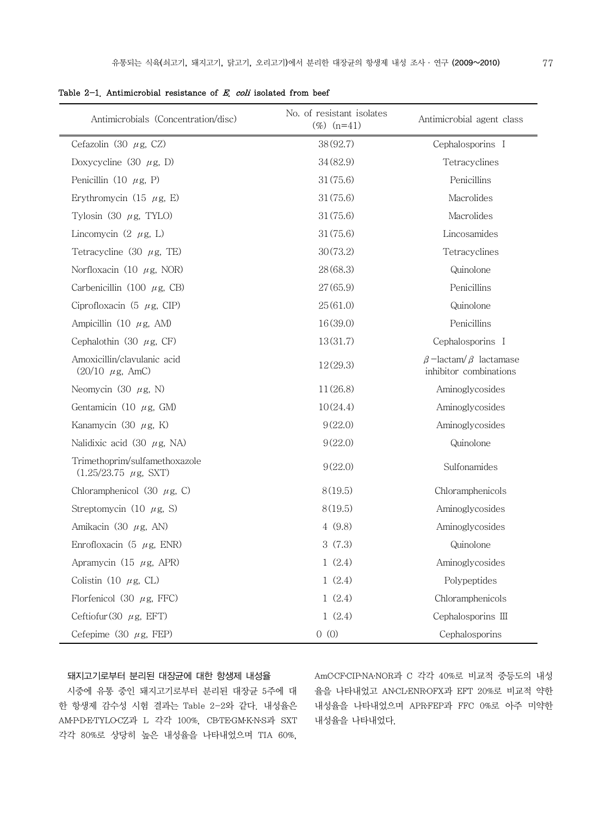| Antimicrobials (Concentration/disc)                               | No. of resistant isolates<br>$(\%)$ (n=41) | Antimicrobial agent class                                    |
|-------------------------------------------------------------------|--------------------------------------------|--------------------------------------------------------------|
| Cefazolin (30 $\mu$ g, CZ)                                        | 38(92.7)                                   | Cephalosporins I                                             |
| Doxycycline (30 $\mu$ g, D)                                       | 34 (82.9)                                  | Tetracyclines                                                |
| Penicillin (10 $\mu$ g, P)                                        | 31(75.6)                                   | Penicillins                                                  |
| Erythromycin (15 $\mu$ g, E)                                      | 31(75.6)                                   | Macrolides                                                   |
| Tylosin (30 $\mu$ g, TYLO)                                        | 31(75.6)                                   | Macrolides                                                   |
| Lincomycin $(2 \mu g, L)$                                         | 31(75.6)                                   | Lincosamides                                                 |
| Tetracycline (30 $\mu$ g, TE)                                     | 30(73.2)                                   | Tetracyclines                                                |
| Norfloxacin (10 $\mu$ g, NOR)                                     | 28(68.3)                                   | Quinolone                                                    |
| Carbenicillin (100 $\mu$ g, CB)                                   | 27(65.9)                                   | Penicillins                                                  |
| Ciprofloxacin (5 $\mu$ g, CIP)                                    | 25(61.0)                                   | Quinolone                                                    |
| Ampicillin (10 $\mu$ g, AM)                                       | 16(39.0)                                   | Penicillins                                                  |
| Cephalothin (30 $\mu$ g, CF)                                      | 13(31.7)                                   | Cephalosporins I                                             |
| Amoxicillin/clavulanic acid<br>$(20/10 \mu g, \text{AmC})$        | 12(29.3)                                   | $\beta$ -lactam/ $\beta$ lactamase<br>inhibitor combinations |
| Neomycin (30 $\mu$ g, N)                                          | 11(26.8)                                   | Aminoglycosides                                              |
| Gentamicin (10 $\mu$ g, GM)                                       | 10(24.4)                                   | Aminoglycosides                                              |
| Kanamycin (30 $\mu$ g, K)                                         | 9(22.0)                                    | Aminoglycosides                                              |
| Nalidixic acid (30 $\mu$ g, NA)                                   | 9(22.0)                                    | Quinolone                                                    |
| Trimethoprim/sulfamethoxazole<br>$(1.25/23.75 \mu g, \text{SXT})$ | 9(22.0)                                    | Sulfonamides                                                 |
| Chloramphenicol (30 $\mu$ g, C)                                   | 8(19.5)                                    | Chloramphenicols                                             |
| Streptomycin (10 $\mu$ g, S)                                      | 8(19.5)                                    | Aminoglycosides                                              |
| Amikacin (30 $\mu$ g, AN)                                         | 4(9.8)                                     | Aminoglycosides                                              |
| Enrofloxacin (5 $\mu$ g, ENR)                                     | 3(7.3)                                     | Quinolone                                                    |
| Apramycin (15 $\mu$ g, APR)                                       | 1(2.4)                                     | Aminoglycosides                                              |
| Colistin (10 $\mu$ g, CL)                                         | 1(2.4)                                     | Polypeptides                                                 |
| Florfenicol (30 $\mu$ g, FFC)                                     | 1(2.4)                                     | Chloramphenicols                                             |
| Ceftiofur (30 $\mu$ g, EFT)                                       | 1(2.4)                                     | Cephalosporins III                                           |
| Cefepime (30 $\mu$ g, FEP)                                        | 0(0)                                       | Cephalosporins                                               |

|  |  | Table $2-1$ . Antimicrobial resistance of $E$ , coli isolated from beef |  |  |  |  |  |  |  |
|--|--|-------------------------------------------------------------------------|--|--|--|--|--|--|--|
|--|--|-------------------------------------------------------------------------|--|--|--|--|--|--|--|

### 돼지고기로부터 분리된 대장균에 대한 항생제 내성율

시중에 유통 중인 돼지고기로부터 분리된 대장균 5주에 대 한 항생제 감수성 시험 결과는 Table 2-2와 같다. 내성율은 AM․P․D․E․TYLO․CZ과 L 각각 100%, CB․TE․GM․K․N․S과 SXT 각각 80%로 상당히 높은 내성율을 나타내었으며 TIA 60%,

AmC․CF․CIP․NA․NOR과 C 각각 40%로 비교적 중등도의 내성 율을 나타내었고 AN․CL․ENR․OFX과 EFT 20%로 비교적 약한 내성율을 나타내었으며 APR․FEP과 FFC 0%로 아주 미약한 내성율을 나타내었다.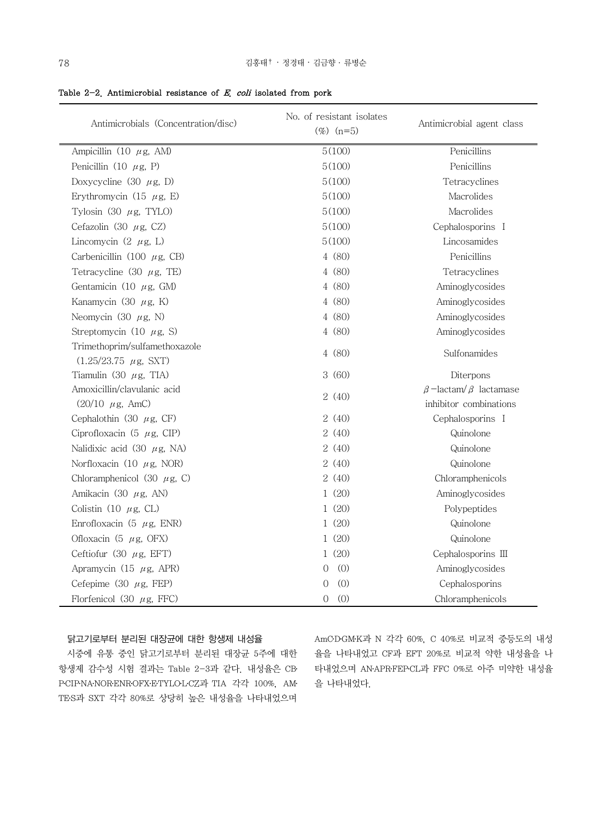| Antimicrobials (Concentration/disc)                               | No. of resistant isolates<br>$(\%)$ (n=5) | Antimicrobial agent class          |
|-------------------------------------------------------------------|-------------------------------------------|------------------------------------|
| Ampicillin (10 $\mu$ g, AM)                                       | 5(100)                                    | Penicillins                        |
| Penicillin (10 $\mu$ g, P)                                        | 5(100)                                    | Penicillins                        |
| Doxycycline (30 $\mu$ g, D)                                       | 5(100)                                    | Tetracyclines                      |
| Erythromycin (15 $\mu$ g, E)                                      | 5(100)                                    | Macrolides                         |
| Tylosin (30 $\mu$ g, TYLO)                                        | 5(100)                                    | Macrolides                         |
| Cefazolin (30 $\mu$ g, CZ)                                        | 5(100)                                    | Cephalosporins I                   |
| Lincomycin $(2 \mu g, L)$                                         | 5(100)                                    | Lincosamides                       |
| Carbenicillin (100 $\mu$ g, CB)                                   | 4 (80)                                    | Penicillins                        |
| Tetracycline (30 $\mu$ g, TE)                                     | 4(80)                                     | Tetracyclines                      |
| Gentamicin (10 $\mu$ g, GM)                                       | 4(80)                                     | Aminoglycosides                    |
| Kanamycin (30 $\mu$ g, K)                                         | 4(80)                                     | Aminoglycosides                    |
| Neomycin (30 $\mu$ g, N)                                          | 4(80)                                     | Aminoglycosides                    |
| Streptomycin (10 $\mu$ g, S)                                      | 4(80)                                     | Aminoglycosides                    |
| Trimethoprim/sulfamethoxazole<br>$(1.25/23.75 \mu g, \text{SXT})$ | 4(80)                                     | Sulfonamides                       |
| Tiamulin (30 $\mu$ g, TIA)                                        | 3(60)                                     | Diterpons                          |
| Amoxicillin/clavulanic acid                                       |                                           | $\beta$ -lactam/ $\beta$ lactamase |
| $(20/10 \ \mu\text{g}$ , AmC)                                     | 2(40)                                     | inhibitor combinations             |
| Cephalothin (30 $\mu$ g, CF)                                      | 2 (40)                                    | Cephalosporins I                   |
| Ciprofloxacin (5 $\mu$ g, CIP)                                    | 2(40)                                     | Quinolone                          |
| Nalidixic acid (30 $\mu$ g, NA)                                   | 2(40)                                     | Quinolone                          |
| Norfloxacin (10 $\mu$ g, NOR)                                     | 2(40)                                     | Quinolone                          |
| Chloramphenicol (30 $\mu$ g, C)                                   | 2(40)                                     | Chloramphenicols                   |
| Amikacin (30 $\mu$ g, AN)                                         | 1(20)                                     | Aminoglycosides                    |
| Colistin (10 $\mu$ g, CL)                                         | 1(20)                                     | Polypeptides                       |
| Enrofloxacin (5 $\mu$ g, ENR)                                     | 1(20)                                     | Quinolone                          |
| Ofloxacin (5 $\mu$ g, OFX)                                        | 1(20)                                     | Quinolone                          |
| Ceftiofur (30 $\mu$ g, EFT)                                       | 1(20)                                     | Cephalosporins III                 |
| Apramycin (15 $\mu$ g, APR)                                       | (0)<br>0                                  | Aminoglycosides                    |
| Cefepime (30 $\mu$ g, FEP)                                        | 0<br>(0)                                  | Cephalosporins                     |
| Florfenicol (30 $\mu$ g, FFC)                                     | (0)<br>$\Omega$                           | Chloramphenicols                   |

Table 2-2. Antimicrobial resistance of  $E$ , coli isolated from pork

### 닭고기로부터 분리된 대장균에 대한 항생제 내성율

 시중에 유통 중인 닭고기로부터 분리된 대장균 5주에 대한 항생제 감수성 시험 결과는 Table 2-3과 같다. 내성율은 CB․ P․CIP․NA․NOR․ENR․OFX․E․TYLO․L․CZ과 TIA 각각 100%, AM․ TE․S과 SXT 각각 80%로 상당히 높은 내성율을 나타내었으며

AmC․D․GM․K과 N 각각 60%, C 40%로 비교적 중등도의 내성 율을 나타내었고 CF과 EFT 20%로 비교적 약한 내성율을 나 타내었으며 AN․APR․FEP․CL과 FFC 0%로 아주 미약한 내성율 을 나타내었다.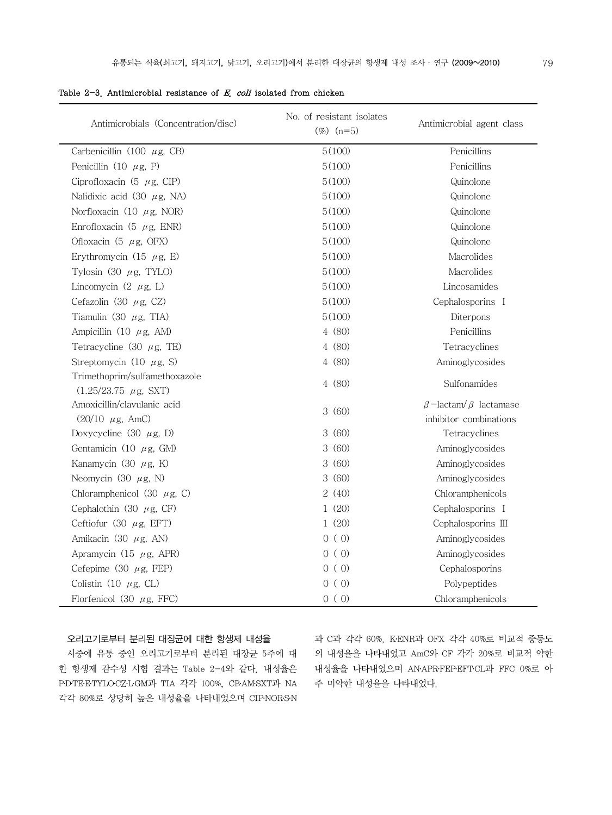| Antimicrobials (Concentration/disc) | No. of resistant isolates<br>$(\%)$ (n=5) | Antimicrobial agent class          |
|-------------------------------------|-------------------------------------------|------------------------------------|
| Carbenicillin (100 $\mu$ g, CB)     | 5(100)                                    | Penicillins                        |
| Penicillin (10 $\mu$ g, P)          | 5(100)                                    | Penicillins                        |
| Ciprofloxacin (5 $\mu$ g, CIP)      | 5(100)                                    | Quinolone                          |
| Nalidixic acid (30 $\mu$ g, NA)     | 5(100)                                    | Quinolone                          |
| Norfloxacin (10 $\mu$ g, NOR)       | 5(100)                                    | Quinolone                          |
| Enrofloxacin (5 $\mu$ g, ENR)       | 5(100)                                    | Quinolone                          |
| Ofloxacin (5 $\mu$ g, OFX)          | 5(100)                                    | Quinolone                          |
| Erythromycin (15 $\mu$ g, E)        | 5(100)                                    | Macrolides                         |
| Tylosin $(30 \ \mu g, TYL0)$        | 5(100)                                    | Macrolides                         |
| Lincomycin $(2 \mu g, L)$           | 5(100)                                    | Lincosamides                       |
| Cefazolin (30 $\mu$ g, CZ)          | 5(100)                                    | Cephalosporins I                   |
| Tiamulin (30 $\mu$ g, TIA)          | 5(100)                                    | Diterpons                          |
| Ampicillin (10 $\mu$ g, AM)         | 4 (80)                                    | Penicillins                        |
| Tetracycline (30 $\mu$ g, TE)       | 4 (80)                                    | Tetracyclines                      |
| Streptomycin (10 $\mu$ g, S)        | 4(80)                                     | Aminoglycosides                    |
| Trimethoprim/sulfamethoxazole       | 4(80)                                     | Sulfonamides                       |
| $(1.25/23.75 \mu g, SXT)$           |                                           |                                    |
| Amoxicillin/clavulanic acid         | 3(60)                                     | $\beta$ -lactam/ $\beta$ lactamase |
| $(20/10 \ \mu\text{g}, \text{AmC})$ |                                           | inhibitor combinations             |
| Doxycycline (30 $\mu$ g, D)         | 3(60)                                     | Tetracyclines                      |
| Gentamicin (10 $\mu$ g, GM)         | 3(60)                                     | Aminoglycosides                    |
| Kanamycin (30 $\mu$ g, K)           | 3(60)                                     | Aminoglycosides                    |
| Neomycin (30 $\mu$ g, N)            | 3(60)                                     | Aminoglycosides                    |
| Chloramphenicol (30 $\mu$ g, C)     | 2(40)                                     | Chloramphenicols                   |
| Cephalothin (30 $\mu$ g, CF)        | 1(20)                                     | Cephalosporins I                   |
| Ceftiofur (30 $\mu$ g, EFT)         | 1(20)                                     | Cephalosporins III                 |
| Amikacin (30 $\mu$ g, AN)           | 0(0)                                      | Aminoglycosides                    |
| Apramycin (15 $\mu$ g, APR)         | 0(0)                                      | Aminoglycosides                    |
| Cefepime (30 $\mu$ g, FEP)          | 0(0)                                      | Cephalosporins                     |
| Colistin (10 $\mu$ g, CL)           | 0(0)                                      | Polypeptides                       |
| Florfenicol (30 $\mu$ g, FFC)       | 0(0)                                      | Chloramphenicols                   |

Table 2-3. Antimicrobial resistance of  $E$ , coli isolated from chicken

### 오리고기로부터 분리된 대장균에 대한 항생제 내성율

시중에 유통 중인 오리고기로부터 분리된 대장균 5주에 대 한 항생제 감수성 시험 결과는 Table 2-4와 같다. 내성율은 P․D․TE․E․TYLO․CZ․L․GM과 TIA 각각 100%, CB․AM․SXT과 NA 각각 80%로 상당히 높은 내성율을 나타내었으며 CIP․NOR․S․N

과 C과 각각 60%, K․ENR과 OFX 각각 40%로 비교적 중등도 의 내성율을 나타내었고 AmC와 CF 각각 20%로 비교적 약한 내성율을 나타내었으며 AN․APR․FEP․EFT․CL과 FFC 0%로 아 주 미약한 내성율을 나타내었다.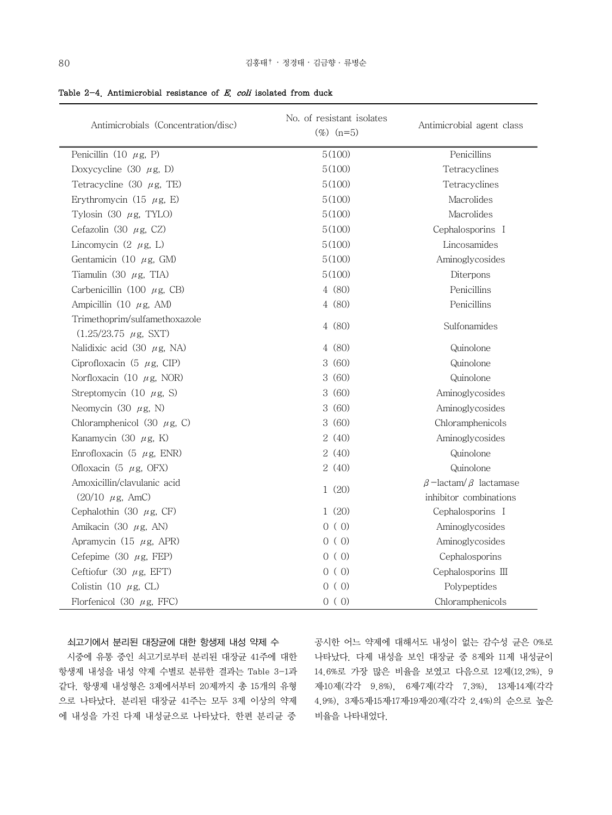| Antimicrobials (Concentration/disc)                          | No. of resistant isolates<br>$(\%)$ (n=5) | Antimicrobial agent class                                    |
|--------------------------------------------------------------|-------------------------------------------|--------------------------------------------------------------|
| Penicillin (10 $\mu$ g, P)                                   | 5(100)                                    | Penicillins                                                  |
| Doxycycline (30 $\mu$ g, D)                                  | 5(100)                                    | Tetracyclines                                                |
| Tetracycline (30 $\mu$ g, TE)                                | 5(100)                                    | Tetracyclines                                                |
| Erythromycin (15 $\mu$ g, E)                                 | 5(100)                                    | Macrolides                                                   |
| Tylosin (30 $\mu$ g, TYLO)                                   | 5(100)                                    | Macrolides                                                   |
| Cefazolin (30 $\mu$ g, CZ)                                   | 5(100)                                    | Cephalosporins I                                             |
| Lincomycin $(2 \mu g, L)$                                    | 5(100)                                    | Lincosamides                                                 |
| Gentamicin (10 $\mu$ g, GM)                                  | 5(100)                                    | Aminoglycosides                                              |
| Tiamulin (30 $\mu$ g, TIA)                                   | 5(100)                                    | Diterpons                                                    |
| Carbenicillin (100 $\mu$ g, CB)                              | 4 (80)                                    | Penicillins                                                  |
| Ampicillin (10 $\mu$ g, AM)                                  | 4(80)                                     | Penicillins                                                  |
| Trimethoprim/sulfamethoxazole<br>$(1.25/23.75 \mu g, SXT)$   | 4(80)                                     | Sulfonamides                                                 |
| Nalidixic acid (30 $\mu$ g, NA)                              | 4 (80)                                    | Quinolone                                                    |
| Ciprofloxacin (5 $\mu$ g, CIP)                               | 3(60)                                     | Quinolone                                                    |
| Norfloxacin (10 $\mu$ g, NOR)                                | 3(60)                                     | Quinolone                                                    |
| Streptomycin (10 $\mu$ g, S)                                 | 3(60)                                     | Aminoglycosides                                              |
| Neomycin (30 $\mu$ g, N)                                     | 3(60)                                     | Aminoglycosides                                              |
| Chloramphenicol (30 $\mu$ g, C)                              | 3(60)                                     | Chloramphenicols                                             |
| Kanamycin (30 $\mu$ g, K)                                    | 2(40)                                     | Aminoglycosides                                              |
| Enrofloxacin (5 $\mu$ g, ENR)                                | 2(40)                                     | Quinolone                                                    |
| Ofloxacin (5 $\mu$ g, OFX)                                   | 2(40)                                     | Quinolone                                                    |
| Amoxicillin/clavulanic acid<br>$(20/10 \ \mu\text{g}$ , AmC) | 1(20)                                     | $\beta$ -lactam/ $\beta$ lactamase<br>inhibitor combinations |
| Cephalothin (30 $\mu$ g, CF)                                 | 1(20)                                     | Cephalosporins I                                             |
| Amikacin (30 $\mu$ g, AN)                                    | 0(0)                                      | Aminoglycosides                                              |
| Apramycin (15 $\mu$ g, APR)                                  | 0(0)                                      | Aminoglycosides                                              |
| Cefepime $(30 \mu g, FEP)$                                   | 0(0)                                      | Cephalosporins                                               |
| Ceftiofur (30 $\mu$ g, EFT)                                  | 0 (0)                                     | Cephalosporins III                                           |
| Colistin (10 $\mu$ g, CL)                                    | 0(0)                                      | Polypeptides                                                 |
| Florfenicol (30 $\mu$ g, FFC)                                | 0 (0)                                     | Chloramphenicols                                             |

Table  $2-4$ . Antimicrobial resistance of E. coli isolated from duck

### 쇠고기에서 분리된 대장균에 대한 항생제 내성 약제 수

시중에 유통 중인 쇠고기로부터 분리된 대장균 41주에 대한 항생제 내성을 내성 약제 수별로 분류한 결과는 Table 3-1과 같다. 항생제 내성형은 3제에서부터 20제까지 총 15개의 유형 으로 나타났다. 분리된 대장균 41주는 모두 3제 이상의 약제 에 내성을 가진 다제 내성균으로 나타났다. 한편 분리균 중

공시한 어느 약제에 대해서도 내성이 없는 감수성 균은 0%로 나타났다. 다제 내성을 보인 대장균 중 8제와 11제 내성균이 14.6%로 가장 많은 비율을 보였고 다음으로 12제(12.2%), 9 제․10제(각각 9.8%), 6제․7제(각각 7.3%), 13제․14제(각각 4.9%), 3제․5제․15제․17제․19제․20제(각각 2.4%)의 순으로 높은 비율을 나타내었다.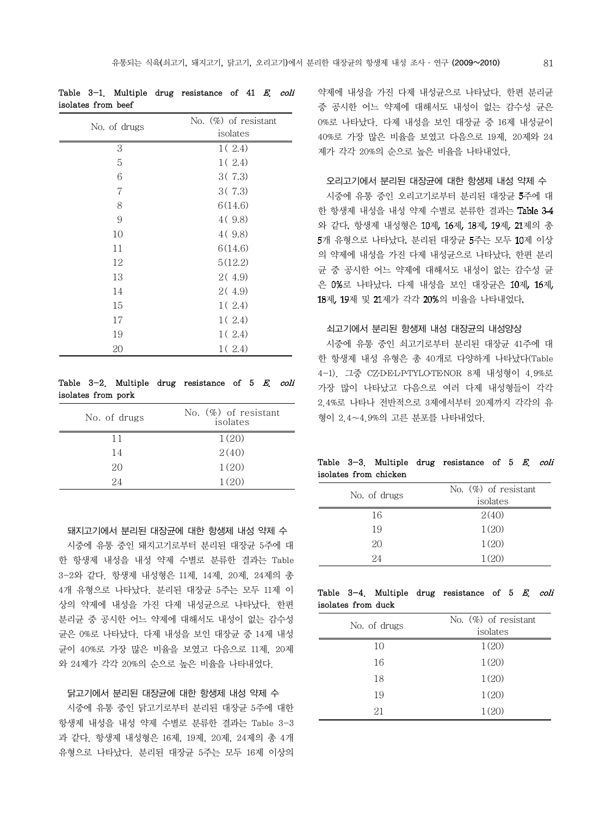| isolates from beef |                         |
|--------------------|-------------------------|
| No. of drugs       | No. $(\%)$ of resistant |
|                    | isolates                |
| 3                  | 1(2.4)                  |
| 5                  | 1(2.4)                  |
| 6                  | 3(7.3)                  |
| 7                  | 3(7.3)                  |
| 8                  | 6(14.6)                 |
| 9                  | 4(9.8)                  |
| 10                 | 4(9.8)                  |
| 11                 | 6(14.6)                 |
| 12                 | 5(12.2)                 |
| 13                 | 2(4.9)                  |
| 14                 | 2(4.9)                  |
| 15                 | 1(2.4)                  |
| 17                 | 1(2.4)                  |
| 19                 | 1(2.4)                  |
| 20                 | 1(2.4)                  |

# Table 3-1. Multiple drug resistance of 41 E. coli

### Table  $3-2$ . Multiple drug resistance of 5 E. coli isolates from pork

| No. of drugs | No. $(\%)$ of resistant<br>isolates |
|--------------|-------------------------------------|
| 11           | 1(20)                               |
| 14           | 2(40)                               |
| 20           | 1(20)                               |
| 24           | 1(20)                               |

돼지고기에서 분리된 대장균에 대한 항생제 내성 약제 수 시중에 유통 중인 돼지고기로부터 분리된 대장균 5주에 대 한 항생제 내성을 내성 약제 수별로 분류한 결과는 Table 3-2와 같다. 항생제 내성형은 11제, 14제, 20제, 24제의 총 4개 유형으로 나타났다. 분리된 대장균 5주는 모두 11제 이 상의 약제에 내성을 가진 다제 내성균으로 나타났다. 한편 분리균 중 공시한 어느 약제에 대해서도 내성이 없는 감수성 균은 0%로 나타났다. 다제 내성을 보인 대장균 중 14제 내성 균이 40%로 가장 많은 비율을 보였고 다음으로 11제, 20제 와 24제가 각각 20%의 순으로 높은 비율을 나타내었다.

### 닭고기에서 분리된 대장균에 대한 항생제 내성 약제 수

 시중에 유통 중인 닭고기로부터 분리된 대장균 5주에 대한 항생제 내성을 내성 약제 수별로 분류한 결과는 Table 3-3 과 같다. 항생제 내성형은 16제, 19제, 20제, 24제의 총 4개 유형으로 나타났다. 분리된 대장균 5주는 모두 16제 이상의

약제에 내성을 가진 다제 내성균으로 나타났다. 한편 분리균 중 공시한 어느 약제에 대해서도 내성이 없는 감수성 균은 0%로 나타났다. 다제 내성을 보인 대장균 중 16제 내성균이 40%로 가장 많은 비율을 보였고 다음으로 19제, 20제와 24 제가 각각 20%의 순으로 높은 비율을 나타내었다.

### 오리고기에서 분리된 대장균에 대한 항생제 내성 약제 수

시중에 유통 중인 오리고기로부터 분리된 대장균 주에 대 한 항생제 내성을 내성 약제 수별로 분류한 결과는 Table 3-4 와 같다. 항생제 내성형은 10제, 16제, 18제, 19제, 21제의 총 5개 유형으로 나타났다. 분리된 대장균 5주는 모두 10제 이상 의 약제에 내성을 가진 다제 내성균으로 나타났다 한편 분리 균 중 공시한 어느 약제에 대해서도 내성이 없는 감수성 균 은 0%로 나타났다. 다제 내성을 보인 대장균은 10제, 16제, 18제, 19제 및 21제가 각각 20%의 비율을 나타내었다.

### 쇠고기에서 분리된 항생제 내성 대장균의 내성양상

 시중에 유통 중인 쇠고기로부터 분리된 대장균 41주에 대 한 항생제 내성 유형은 총 40개로 다양하게 나타났다(Table 4-1). 그중 CZ·DELP·TYLOTE·NOR 8제 내성형이 4.9%로 가장 많이 나타났고 다음으로 여러 다제 내성형들이 각각 2.4%로 나타나 전반적으로 3제에서부터 20제까지 각각의 유 형이 2.4∼4.9%의 고른 분포를 나타내었다.

### Table 3-3. Multiple drug resistance of 5 E. coli isolates from chicken

| No. of drugs | No. $(\%)$ of resistant<br>isolates |
|--------------|-------------------------------------|
| 16           | 2(40)                               |
| 19           | 1(20)                               |
| 20           | 1(20)                               |
| 24           | 1(20)                               |

### Table  $3-4$ . Multiple drug resistance of 5 E. coli isolates from duck

| No. of drugs | No. $(\%)$ of resistant |
|--------------|-------------------------|
|              | isolates                |
| 10           | 1(20)                   |
| 16           | 1(20)                   |
| 18           | 1(20)                   |
| 19           | 1(20)                   |
| 21           | 1(20)                   |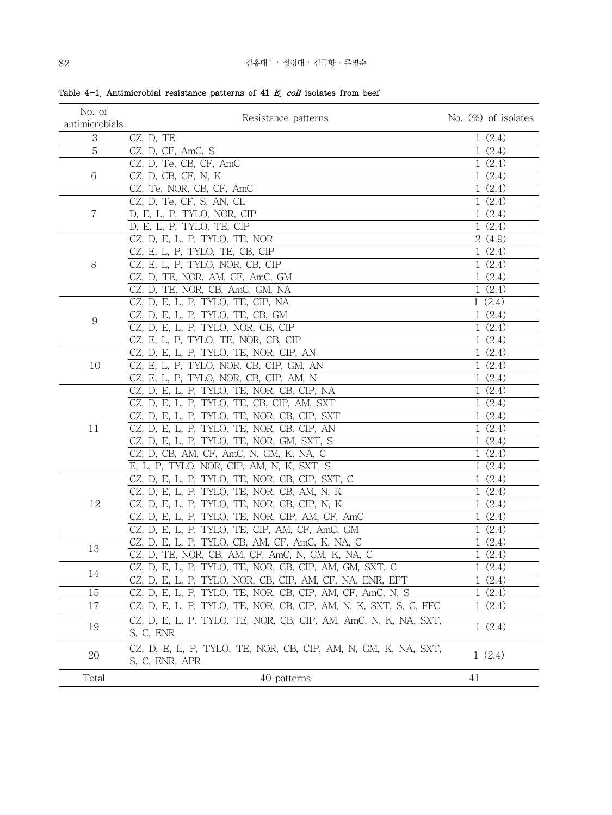| No. of         | Resistance patterns                                              | No. $(\%)$ of isolates |
|----------------|------------------------------------------------------------------|------------------------|
| antimicrobials |                                                                  |                        |
| 3              | CZ, D, TE                                                        | 1(2.4)                 |
| 5              | CZ, D, CF, AmC, S                                                | 1(2.4)                 |
|                | CZ, D, Te, CB, CF, AmC                                           | 1(2.4)                 |
| 6              | CZ, D, CB, CF, N, K                                              | 1(2.4)                 |
|                | CZ, Te, NOR, CB, CF, AmC                                         | 1(2.4)                 |
|                | CZ, D, Te, CF, S, AN, CL                                         | 1(2.4)                 |
| 7              | D, E, L, P, TYLO, NOR, CIP                                       | 1(2.4)                 |
|                | D, E, L, P, TYLO, TE, CIP                                        | 1(2.4)                 |
|                | CZ, D, E, L, P, TYLO, TE, NOR                                    | 2(4.9)                 |
|                | CZ, E, L, P, TYLO, TE, CB, CIP                                   | 1(2.4)                 |
| 8              | CZ, E, L, P, TYLO, NOR, CB, CIP                                  | 1(2.4)                 |
|                | CZ, D, TE, NOR, AM, CF, AmC, GM                                  | 1(2.4)                 |
|                | CZ, D, TE, NOR, CB, AmC, GM, NA                                  | 1(2.4)                 |
|                | CZ, D, E, L, P, TYLO, TE, CIP, NA                                | 1(2.4)                 |
|                | CZ, D, E, L, P, TYLO, TE, CB, GM                                 | 1(2.4)                 |
| 9              | CZ, D, E, L, P, TYLO, NOR, CB, CIP                               | 1(2.4)                 |
|                | CZ, E, L, P, TYLO, TE, NOR, CB, CIP                              | 1(2.4)                 |
|                | CZ, D, E, L, P, TYLO, TE, NOR, CIP, AN                           | 1(2.4)                 |
| 10             | CZ, E, L, P, TYLO, NOR, CB, CIP, GM, AN                          | 1(2.4)                 |
|                | CZ, E, L, P, TYLO, NOR, CB, CIP, AM, N                           | 1(2.4)                 |
|                | CZ, D, E, L, P, TYLO, TE, NOR, CB, CIP, NA                       | 1(2.4)                 |
|                | CZ, D, E, L, P, TYLO, TE, CB, CIP, AM, SXT                       | 1(2.4)                 |
|                | CZ, D, E, L, P, TYLO, TE, NOR, CB, CIP, SXT                      | 1(2.4)                 |
| 11             | CZ, D, E, L, P, TYLO, TE, NOR, CB, CIP, AN                       | 1(2.4)                 |
|                | CZ, D, E, L, P, TYLO, TE, NOR, GM, SXT, S                        | 1(2.4)                 |
|                | CZ, D, CB, AM, CF, AmC, N, GM, K, NA, C                          | 1(2.4)                 |
|                | E, L, P, TYLO, NOR, CIP, AM, N, K, SXT, S                        | 1(2.4)                 |
|                | CZ, D, E, L, P, TYLO, TE, NOR, CB, CIP, SXT, C                   | 1(2.4)                 |
|                | CZ, D, E, L, P, TYLO, TE, NOR, CB, AM, N, K                      | 1(2.4)                 |
| 12             | CZ, D, E, L, P, TYLO, TE, NOR, CB, CIP, N, K                     | 1(2.4)                 |
|                | CZ, D, E, L, P, TYLO, TE, NOR, CIP, AM, CF, AmC                  | 1(2.4)                 |
|                | CZ, D, E, L, P, TYLO, TE, CIP, AM, CF, AmC, GM                   | 1(2.4)                 |
|                | CZ, D, E, L, P, TYLO, CB, AM, CF, AmC, K, NA, C                  | 1(2.4)                 |
| 13             | CZ, D, TE, NOR, CB, AM, CF, AmC, N, GM, K, NA, C                 | 1(2.4)                 |
|                | CZ, D, E, L, P, TYLO, TE, NOR, CB, CIP, AM, GM, SXT, C           | 1(2.4)                 |
| 14             | CZ, D, E, L, P, TYLO, NOR, CB, CIP, AM, CF, NA, ENR, EFT         | 1(2.4)                 |
| 15             | CZ, D, E, L, P, TYLO, TE, NOR, CB, CIP, AM, CF, AmC, N, S        | 1(2.4)                 |
| 17             | CZ, D, E, L, P, TYLO, TE, NOR, CB, CIP, AM, N, K, SXT, S, C, FFC | 1(2.4)                 |
|                |                                                                  |                        |
| 19             | CZ, D, E, L, P, TYLO, TE, NOR, CB, CIP, AM, AmC, N, K, NA, SXT,  | 1(2.4)                 |
|                | S, C, ENR                                                        |                        |
| 20             | CZ, D, E, L, P, TYLO, TE, NOR, CB, CIP, AM, N, GM, K, NA, SXT,   | 1(2.4)                 |
|                | S, C, ENR, APR                                                   |                        |
| Total          | 40 patterns                                                      | 41                     |

Table 4-1. Antimicrobial resistance patterns of 41  $E$ , coli isolates from beef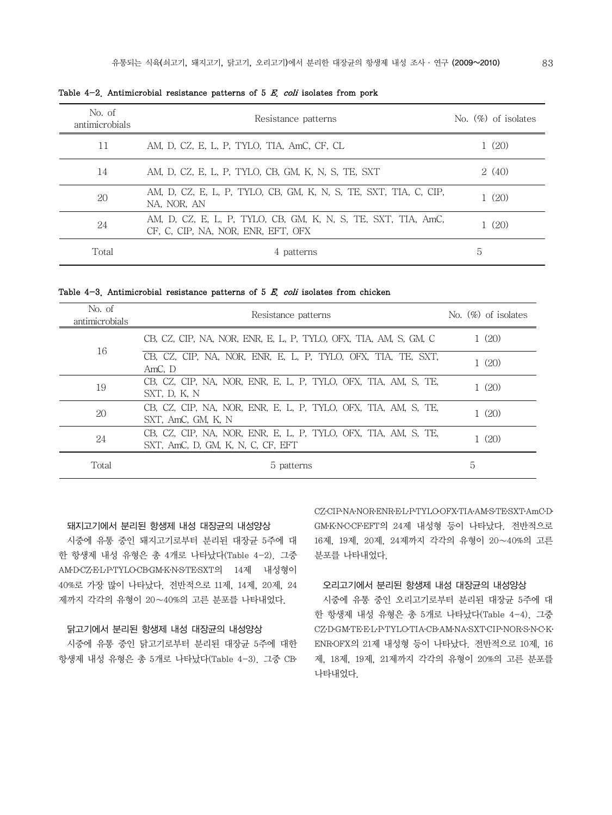| No. of<br>antimicrobials | Resistance patterns                                                                                 | No. $(\%)$ of isolates |
|--------------------------|-----------------------------------------------------------------------------------------------------|------------------------|
| 11                       | AM, D, CZ, E, L, P, TYLO, TIA, AmC, CF, CL                                                          | (20)                   |
| 14                       | AM, D, CZ, E, L, P, TYLO, CB, GM, K, N, S, TE, SXT                                                  | 2(40)                  |
| 20                       | AM, D, CZ, E, L, P, TYLO, CB, GM, K, N, S, TE, SXT, TIA, C, CIP,<br>NA, NOR, AN                     | (20)                   |
| 24                       | AM, D, CZ, E, L, P, TYLO, CB, GM, K, N, S, TE, SXT, TIA, AmC,<br>CF, C, CIP, NA, NOR, ENR, EFT, OFX | (20)                   |
| Total                    | 4 patterns                                                                                          | 5                      |

Table 4-2. Antimicrobial resistance patterns of 5  $E$ , coli isolates from pork

Table  $4-3$ . Antimicrobial resistance patterns of 5 E. coli isolates from chicken

| No. of<br>antimicrobials | Resistance patterns                                                                                 | No. $(\%)$ of isolates |
|--------------------------|-----------------------------------------------------------------------------------------------------|------------------------|
| 16                       | CB, CZ, CIP, NA, NOR, ENR, E, L, P, TYLO, OFX, TIA, AM, S, GM, C                                    | 1(20)                  |
|                          | CB, CZ, CIP, NA, NOR, ENR, E, L, P, TYLO, OFX, TIA, TE, SXT,<br>AmC. D                              | 1(20)                  |
| 19                       | CB, CZ, CIP, NA, NOR, ENR, E, L, P, TYLO, OFX, TIA, AM, S, TE,<br>SXT, D, K, N                      | 1(20)                  |
| 20                       | CB, CZ, CIP, NA, NOR, ENR, E, L, P, TYLO, OFX, TIA, AM, S, TE,<br>SXT. AmC. GM. K. N                | 1(20)                  |
| 24                       | CB, CZ, CIP, NA, NOR, ENR, E, L, P, TYLO, OFX, TIA, AM, S, TE,<br>SXT, AmC, D, GM, K, N, C, CF, EFT | 1(20)                  |
| Total                    | 5 patterns                                                                                          | 5                      |

### 돼지고기에서 분리된 항생제 내성 대장균의 내성양상

시중에 유통 중인 돼지고기로부터 분리된 대장균 5주에 대 한 항생제 내성 유형은 총 4개로 나타났다(Table 4-2). 그중 AM․D․CZ․E․L․P․TYLO․CB․GM․K․N․S․TE․SXT의 14제 내성형이 40%로 가장 많이 나타났다. 전반적으로 11제, 14제, 20제, 24 제까지 각각의 유형이 20∼40%의 고른 분포를 나타내었다.

### 닭고기에서 분리된 항생제 내성 대장균의 내성양상

 시중에 유통 중인 닭고기로부터 분리된 대장균 5주에 대한 항생제 내성 유형은 총 5개로 나타났다(Table 4-3). 그중 CB․ CZ․CIP․NA․NOR․ENR․E․L․P․TYLO․OFX․TIA․AM․S․TE․SXT․AmC․D․ GM․K․N․C․CF․EFT의 24제 내성형 등이 나타났다. 전반적으로 16제, 19제, 20제, 24제까지 각각의 유형이 20∼40%의 고른 분포를 나타내었다.

### 오리고기에서 분리된 항생제 내성 대장균의 내성양상

시중에 유통 중인 오리고기로부터 분리된 대장균 5주에 대 한 항생제 내성 유형은 총 5개로 나타났다(Table 4-4). 그중 CZ․D․GM․TE․E․L․P․TYLO․TIA․CB․AM․NA․SXT․CIP․NOR․S․N․C․K․ ENR․OFX의 21제 내성형 등이 나타났다. 전반적으로 10제, 16 제, 18제, 19제, 21제까지 각각의 유형이 20%의 고른 분포를 나타내었다.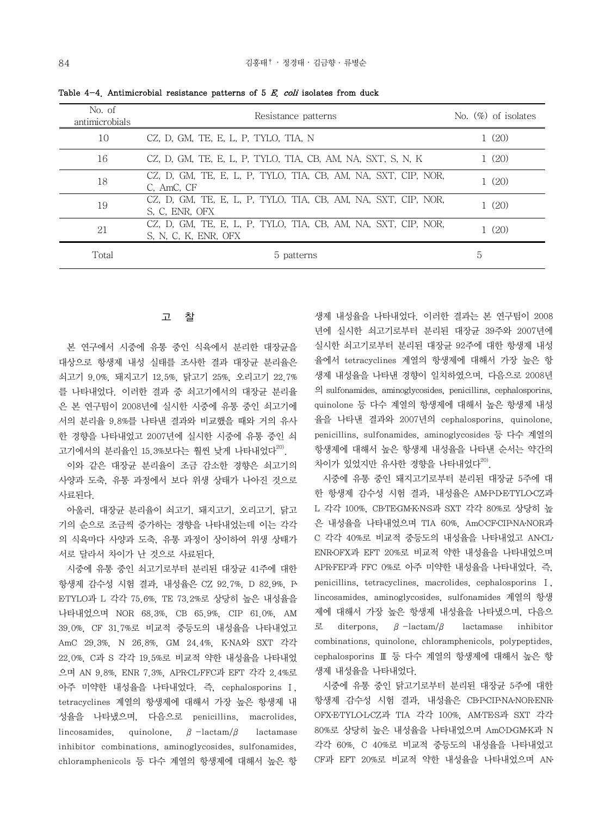| No. of<br>antimicrobials | Resistance patterns                                                                   | No. $(\%)$ of isolates |
|--------------------------|---------------------------------------------------------------------------------------|------------------------|
| 10                       | CZ, D, GM, TE, E, L, P, TYLO, TIA, N                                                  | 1(20)                  |
| 16                       | CZ, D, GM, TE, E, L, P, TYLO, TIA, CB, AM, NA, SXT, S, N, K                           | 1(20)                  |
| 18                       | CZ, D, GM, TE, E, L, P, TYLO, TIA, CB, AM, NA, SXT, CIP, NOR,<br>C. AmC. CF           | 1(20)                  |
| 19                       | CZ, D, GM, TE, E, L, P, TYLO, TIA, CB, AM, NA, SXT, CIP, NOR,<br>S. C. ENR. OFX       | 1(20)                  |
| 21                       | CZ, D, GM, TE, E, L, P, TYLO, TIA, CB, AM, NA, SXT, CIP, NOR,<br>S, N, C, K, ENR, OFX | (20)                   |
| Total                    | 5 patterns                                                                            | 5                      |

Table  $4-4$ . Antimicrobial resistance patterns of 5 E. coli isolates from duck

### 고 찰

 본 연구에서 시중에 유통 중인 식육에서 분리한 대장균을 대상으로 항생제 내성 실태를 조사한 결과 대장균 분리율은 쇠고기 9.0%, 돼지고기 12.5%, 닭고기 25%, 오리고기 22.7% 를 나타내었다. 이러한 결과 중 쇠고기에서의 대장균 분리율 은 본 연구팀이 2008년에 실시한 시중에 유통 중인 쇠고기에 서의 분리율 9.8%를 나타낸 결과와 비교했을 때와 거의 유사 한 경향을 나타내었고 2007년에 실시한 시중에 유통 중인 쇠 고기에서의 분리율인 15.3%보다는 훨씬 낮게 나타내었다<sup>20)</sup>.

 이와 같은 대장균 분리율이 조금 감소한 경향은 쇠고기의 사양과 도축, 유통 과정에서 보다 위생 상태가 나아진 것으로 사료된다.

 아울러, 대장균 분리율이 쇠고기, 돼지고기, 오리고기, 닭고 기의 순으로 조금씩 증가하는 경향을 나타내었는데 이는 각각 의 식육마다 사양과 도축, 유통 과정이 상이하여 위생 상태가 서로 달라서 차이가 난 것으로 사료된다.

 시중에 유통 중인 쇠고기로부터 분리된 대장균 41주에 대한 항생제 감수성 시험 결과, 내성율은 CZ 92.7%, D 82.9%, P․ E․TYLO과 L 각각 75.6%, TE 73.2%로 상당히 높은 내성율을 나타내었으며 NOR 68.3%, CB 65.9%, CIP 61.0%, AM 39.0%, CF 31.7%로 비교적 중등도의 내성율을 나타내었고 AmC 29.3%, N 26.8%, GM 24.4%, K․NA와 SXT 각각 22.0%, C과 S 각각 19.5%로 비교적 약한 내성율을 나타내었 으며 AN 9.8%, ENR 7.3%, APR․CL․FFC과 EFT 각각 2.4%로 아주 미약한 내성율을 나타내었다. 즉, cephalosporins Ⅰ, tetracyclines 계열의 항생제에 대해서 가장 높은 항생제 내 성율을 나타냈으며, 다음으로 penicillins, macrolides, lincosamides, quinolone,  $\beta$ -lactam/ $\beta$  lactamase inhibitor combinations, aminoglycosides, sulfonamides, chloramphenicols 등 다수 계열의 항생제에 대해서 높은 항 생제 내성율을 나타내었다. 이러한 결과는 본 연구팀이 2008 년에 실시한 쇠고기로부터 분리된 대장균 39주와 2007년에 실시한 쇠고기로부터 분리된 대장균 92주에 대한 항생제 내성 율에서 tetracyclines 계열의 항생제에 대해서 가장 높은 항 생제 내성율을 나타낸 경향이 일치하였으며, 다음으로 2008년 의 sulfonamides, aminoglycosides, penicillins, cephalosporins, quinolone 등 다수 계열의 항생제에 대해서 높은 항생제 내성 율을 나타낸 결과와 2007년의 cephalosporins, quinolone, penicillins, sulfonamides, aminoglycosides 등 다수 계열의 항생제에 대해서 높은 항생제 내성율을 나타낸 순서는 약간의 차이가 있었지만 유사한 경향을 나타내었다 $^{20}$ .

 시중에 유통 중인 돼지고기로부터 분리된 대장균 5주에 대 한 항생제 감수성 시험 결과, 내성율은 AM-PDE-TYLOCZ과 L 각각 100%, CB·TE·GM·K·N·S과 SXT 각각 80%로 상당히 높 은 내성율을 나타내었으며 TIA 60%, AmC․CF․CIP․NA․NOR과 C 각각 40%로 비교적 중등도의 내성율을 나타내었고 AN․CL․ ENR․OFX과 EFT 20%로 비교적 약한 내성율을 나타내었으며 APR․FEP과 FFC 0%로 아주 미약한 내성율을 나타내었다. 즉, penicillins, tetracyclines, macrolides, cephalosporins Ⅰ, lincosamides, aminoglycosides, sulfonamides 계열의 항생 제에 대해서 가장 높은 항생제 내성율을 나타냈으며, 다음으 로 diterpons, β-lactam/β lactamase inhibitor combinations, quinolone, chloramphenicols, polypeptides, cephalosporins Ⅲ 등 다수 계열의 항생제에 대해서 높은 항 생제 내성율을 나타내었다.

 시중에 유통 중인 닭고기로부터 분리된 대장균 5주에 대한 항생제 감수성 시험 결과, 내성율은 CB-PCIP-NA-NOR-ENR· OFX․E․TYLO․L․CZ과 TIA 각각 100%, AM․TE․S과 SXT 각각  $80\%$ 로 상당히 높은 내성율을 나타내었으며 AmCDGM·K과 N 각각 60%, C 40%로 비교적 중등도의 내성율을 나타내었고 CF과 EFT 20%로 비교적 약한 내성율을 나타내었으며 AN․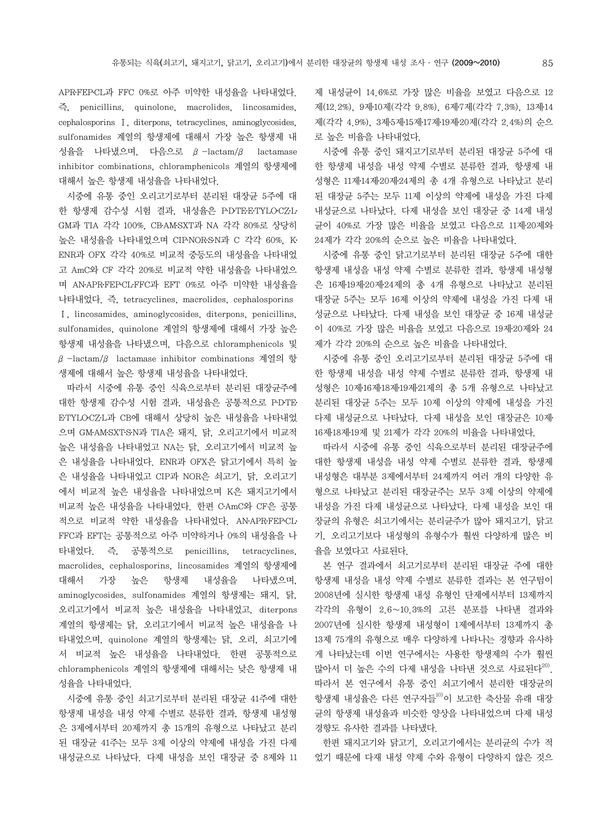APR․FEP․CL과 FFC 0%로 아주 미약한 내성율을 나타내었다. 즉, penicillins, quinolone, macrolides, lincosamides, cephalosporins Ⅰ, diterpons, tetracyclines, aminoglycosides, sulfonamides 계열의 항생제에 대해서 가장 높은 항생제 내 성율을 나타냈으며, 다음으로 β-lactam/β lactamase inhibitor combinations, chloramphenicols 계열의 항생제에 대해서 높은 항생제 내성율을 나타내었다.

 시중에 유통 중인 오리고기로부터 분리된 대장균 5주에 대 한 항생제 감수성 시험 결과, 내성율은 PDTE·ETYLOCZ·L· GM과 TIA 각각 100%, CB․AM․SXT과 NA 각각 80%로 상당히 높은 내성율을 나타내었으며 CIP·NOR·S·N과 C 각각 60%, K· ENR과 OFX 각각 40%로 비교적 중등도의 내성율을 나타내었 고 AmC와 CF 각각 20%로 비교적 약한 내성율을 나타내었으 며 AN․APR․FEP․CL․FFC과 EFT 0%로 아주 미약한 내성율을 나타내었다. 즉, tetracyclines, macrolides, cephalosporins Ⅰ, lincosamides, aminoglycosides, diterpons, penicillins, sulfonamides, quinolone 계열의 항생제에 대해서 가장 높은 항생제 내성율을 나타냈으며, 다음으로 chloramphenicols 및 β-lactam/β lactamase inhibitor combinations 계열의 항 생제에 대해서 높은 항생제 내성율을 나타내었다.

 따라서 시중에 유통 중인 식육으로부터 분리된 대장균주에 대한 항생제 감수성 시험 결과, 내성율은 공통적으로 PDTE E․TYLO․CZ․L과 CB에 대해서 상당히 높은 내성율을 나타내었 으며 GM․AM․SXT․S․N과 TIA은 돼지, 닭, 오리고기에서 비교적 높은 내성율을 나타내었고 NA는 닭, 오리고기에서 비교적 높 은 내성율을 나타내었다. ENR과 OFX은 닭고기에서 특히 높 은 내성율을 나타내었고 CIP과 NOR은 쇠고기, 닭, 오리고기 에서 비교적 높은 내성율을 나타내었으며 K은 돼지고기에서 비교적 높은 내성율을 나타내었다. 한편 CAmC와 CF은 공통 적으로 비교적 약한 내성율을 나타내었다. AN․APR․FEP․CL․ FFC과 EFT는 공통적으로 아주 미약하거나 0%의 내성율을 나 타내었다. 즉, 공통적으로 penicillins, tetracyclines, macrolides, cephalosporins, lincosamides 계열의 항생제에 대해서 가장 높은 항생제 내성율을 나타냈으며, aminoglycosides, sulfonamides 계열의 항생제는 돼지, 닭, 오리고기에서 비교적 높은 내성율을 나타내었고, diterpons 계열의 항생제는 닭, 오리고기에서 비교적 높은 내성율을 나 타내었으며, quinolone 계열의 항생제는 닭, 오리, 쇠고기에 서 비교적 높은 내성율을 나타내었다. 한편 공통적으로 chloramphenicols 계열의 항생제에 대해서는 낮은 항생제 내 성율을 나타내었다.

 시중에 유통 중인 쇠고기로부터 분리된 대장균 41주에 대한 항생제 내성을 내성 약제 수별로 분류한 결과, 항생제 내성형 은 3제에서부터 20제까지 총 15개의 유형으로 나타났고 분리 된 대장균 41주는 모두 3제 이상의 약제에 내성을 가진 다제 내성균으로 나타났다. 다제 내성을 보인 대장균 중 8제와 11 제 내성균이 14.6%로 가장 많은 비율을 보였고 다음으로 12 제(12.2%), 9제․10제(각각 9.8%), 6제․7제(각각 7.3%), 13제․14 제(각각 4.9%), 3제․5제․15제․17제․19제․20제(각각 2.4%)의 순으 로 높은 비율을 나타내었다.

 시중에 유통 중인 돼지고기로부터 분리된 대장균 5주에 대 한 항생제 내성을 내성 약제 수별로 분류한 결과, 항생제 내 성형은 11제․14제․20제․24제의 총 4개 유형으로 나타났고 분리 된 대장균 5주는 모두 11제 이상의 약제에 내성을 가진 다제 내성균으로 나타났다. 다제 내성을 보인 대장균 중 14제 내성 균이 40%로 가장 많은 비율을 보였고 다음으로 11제․20제와 24제가 각각 20%의 순으로 높은 비율을 나타내었다.

 시중에 유통 중인 닭고기로부터 분리된 대장균 5주에 대한 항생제 내성을 내성 약제 수별로 분류한 결과, 항생제 내성형 은 16제․19제․20제․24제의 총 4개 유형으로 나타났고 분리된 대장균 5주는 모두 16제 이상의 약제에 내성을 가진 다제 내 성균으로 나타났다. 다제 내성을 보인 대장균 중 16제 내성균 이 40%로 가장 많은 비율을 보였고 다음으로 19제․20제와 24 제가 각각 20%의 순으로 높은 비율을 나타내었다.

 시중에 유통 중인 오리고기로부터 분리된 대장균 5주에 대 한 항생제 내성을 내성 약제 수별로 분류한 결과, 항생제 내 성형은 10제․16제․18제․19제․21제의 총 5개 유형으로 나타났고 분리된 대장균 5주는 모두 10제 이상의 약제에 내성을 가진 다제 내성균으로 나타났다. 다제 내성을 보인 대장균은 10제․ 16제․18제․19제 및 21제가 각각 20%의 비율을 나타내었다.

 따라서 시중에 유통 중인 식육으로부터 분리된 대장균주에 대한 항생제 내성을 내성 약제 수별로 분류한 결과, 항생제 내성형은 대부분 3제에서부터 24제까지 여러 개의 다양한 유 형으로 나타났고 분리된 대장균주는 모두 3제 이상의 약제에 내성을 가진 다제 내성균으로 나타났다. 다제 내성을 보인 대 장균의 유형은 쇠고기에서는 분리균주가 많아 돼지고기, 닭고 기, 오리고기보다 내성형의 유형수가 훨씬 다양하게 많은 비 율을 보였다고 사료된다.

 본 연구 결과에서 쇠고기로부터 분리된 대장균 주에 대한 항생제 내성을 내성 약제 수별로 분류한 결과는 본 연구팀이 2008년에 실시한 항생제 내성 유형인 단제에서부터 13제까지 각각의 유형이 2.6∼10.3%의 고른 분포를 나타낸 결과와 2007년에 실시한 항생제 내성형이 1제에서부터 13제까지 총 13제 75개의 유형으로 매우 다양하게 나타나는 경향과 유사하 게 나타났는데 이번 연구에서는 사용한 항생제의 수가 훨씬 많아서 더 높은 수의 다제 내성을 나타낸 것으로 사료된다<sup>20)</sup>. 따라서 본 연구에서 유통 중인 쇠고기에서 분리한 대장균의 항생제 내성율은 다른 연구자들<sup>10)</sup>이 보고한 축산물 유래 대장 균의 항생제 내성율과 비슷한 양상을 나타내었으며 다제 내성 경향도 유사한 결과를 나타냈다.

 한편 돼지고기와 닭고기, 오리고기에서는 분리균의 수가 적 었기 때문에 다재 내성 약제 수와 유형이 다양하지 않은 것으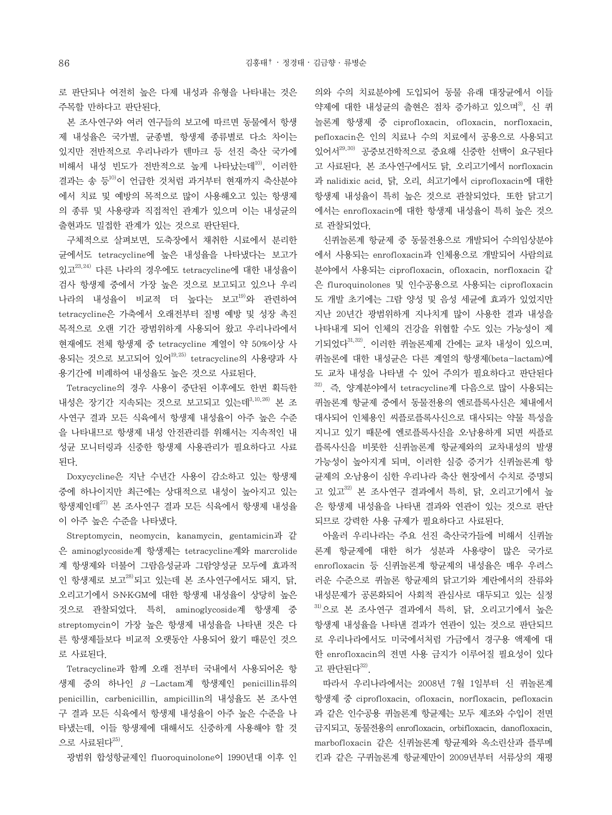로 판단되나 여전히 높은 다제 내성과 유형을 나타내는 것은 주목할 만하다고 판단된다.

본 조사 연구와 여러 연구들의 보고에 따르면 동물에서 항생 제 내성율은 국가별, 균종별, 항생제 종류별로 다소 차이는 있지만 전반적으로 우리나라가 덴마크 등 선진 축산 국가에 비해서 내성 빈도가 전반적으로 높게 나타났는데<sup>10)</sup>, 이러한 결과는 송 등10)이 언급한 것처럼 과거부터 현재까지 축산분야 에서 치료 및 예방의 목적으로 많이 사용해오고 있는 항생제 의 종류 및 사용량과 직접적인 관계가 있으며 이는 내성균의 출현과도 밀접한 관계가 있는 것으로 판단된다.

 구체적으로 살펴보면, 도축장에서 채취한 시료에서 분리한 균에서도 tetracycline에 높은 내성율을 나타냈다는 보고가 있고23,24) 다른 나라의 경우에도 tetracycline에 대한 내성율이 검사 항생제 중에서 가장 높은 것으로 보고되고 있으나 우리 나라의 내성율이 비교적 더 높다는 보고<sup>19)</sup>와 관련하여 tetracycline은 가축에서 오래전부터 질병 예방 및 성장 촉진 목적으로 오랜 기간 광범위하게 사용되어 왔고 우리나라에서 현재에도 전체 항생제 중 tetracycline 계열이 약 50%이상 사 용되는 것으로 보고되어 있어<sup>19,25)</sup> tetracycline의 사용량과 사 용기간에 비례하여 내성율도 높은 것으로 사료된다.

 Tetracycline의 경우 사용이 중단된 이후에도 한번 획득한 내성은 장기간 지속되는 것으로 보고되고 있는데<sup>3,10,26)</sup> 본 조 사․연구 결과 모든 식육에서 항생제 내성율이 아주 높은 수준 을 나타내므로 항생제 내성 안전관리를 위해서는 지속적인 내 성균 모니터링과 신중한 항생제 사용관리가 필요하다고 사료 된다.

 Doxycycline은 지난 수년간 사용이 감소하고 있는 항생제 중에 하나이지만 최근에는 상대적으로 내성이 높아지고 있는 항생제인데 $^{27)}$  본 조사연구 결과 모든 식육에서 항생제 내성율 이 아주 높은 수준을 나타냈다.

 Streptomycin, neomycin, kanamycin, gentamicin과 같 은 aminoglycoside계 항생제는 tetracycline계와 marcrolide 계 항생제와 더불어 그람음성균과 그람양성균 모두에 효과적 인 항생제로 보고 $^{28)}$ 되고 있는데 본 조사 연구에서도 돼지, 닭, 오리고기에서 S․N․K․GM에 대한 항생제 내성율이 상당히 높은 것으로 관찰되었다. 특히, aminoglycoside계 항생제 중 streptomycin이 가장 높은 항생제 내성율을 나타낸 것은 다 른 항생제들보다 비교적 오랫동안 사용되어 왔기 때문인 것으 로 사료된다.

 Tetracycline과 함께 오래 전부터 국내에서 사용되어온 항 생제 중의 하나인 β-Lactam계 항생제인 penicillin류의 penicillin, carbenicillin, ampicillin의 내성율도 본 조사연 구 결과 모든 식육에서 항생제 내성율이 아주 높은 수준을 나 타냈는데, 이들 항생제에 대해서도 신중하게 사용해야 할 것 으로 사료된다 $^{25)}$ .

광범위 합성항균제인 fluoroquinolone이 1990년대 이후 인

의와 수의 치료분야에 도입되어 동물 유래 대장균에서 이들 약제에 대한 내성균의 출현은 점차 증가하고 있으며<sup>3)</sup>, 신 퀴 놀론계 항생제 중 ciprofloxacin, ofloxacin, norfloxacin, pefloxacin은 인의 치료나 수의 치료에서 공용으로 사용되고 있어서29,30) 공중보건학적으로 중요해 신중한 선택이 요구된다 고 사료된다. 본 조사․연구에서도 닭, 오리고기에서 norfloxacin 과 nalidixic acid, 닭, 오리, 쇠고기에서 ciprofloxacin에 대한 항생제 내성율이 특히 높은 것으로 관찰되었다. 또한 닭고기 에서는 enrofloxacin에 대한 항생제 내성율이 특히 높은 것으 로 관찰되었다.

 신퀴놀론계 항균제 중 동물전용으로 개발되어 수의임상분야 에서 사용되는 enrofloxacin과 인체용으로 개발되어 사람의료 분야에서 사용되는 ciprofloxacin, ofloxacin, norfloxacin 같 은 fluroquinolones 및 인수공용으로 사용되는 ciprofloxacin 도 개발 초기에는 그람 양성 및 음성 세균에 효과가 있었지만 지난 20년간 광범위하게 지나치게 많이 사용한 결과 내성을 나타내게 되어 인체의 건강을 위협할 수도 있는 가능성이 제 기되었다31,32). 이러한 퀴놀론제제 간에는 교차 내성이 있으며, 퀴놀론에 대한 내성균은 다른 계열의 항생제(beta-lactam)에 도 교차 내성을 나타낼 수 있어 주의가 필요하다고 판단된다  $32$ ). 즉, 양계분야에서 tetracycline계 다음으로 많이 사용되는 퀴놀론계 항균제 중에서 동물전용의 엔로플록사신은 체내에서 대사되어 인체용인 씨플로플록사신으로 대사되는 약물 특성을 지니고 있기 때문에 엔로플록사신을 오․남용하게 되면 씨플로 플록사신을 비롯한 신퀴놀론계 항균제와의 교차내성의 발생 가능성이 높아지게 되며, 이러한 실증 증거가 신퀴놀론계 항 균제의 오․남용이 심한 우리나라 축산 현장에서 수치로 증명되 고 있고 $^{32)}$  본 조사연구 결과에서 특히, 닭, 오리고기에서 높 은 항생제 내성율을 나타낸 결과와 연관이 있는 것으로 판단 되므로 강력한 사용 규제가 필요하다고 사료된다.

 아울러 우리나라는 주요 선진 축산국가들에 비해서 신퀴놀 론계 항균제에 대한 허가 성분과 사용량이 많은 국가로 enrofloxacin 등 신퀴놀론계 항균제의 내성율은 매우 우려스 러운 수준으로 퀴놀론 항균제의 닭고기와 계란에서의 잔류와 내성문제가 공론화되어 사회적 관심사로 대두되고 있는 실정  $31)$ 으로 본 조사 연구 결과에서 특히, 닭, 오리고기에서 높은 항생제 내성율을 나타낸 결과가 연관이 있는 것으로 판단되므 로 우리나라에서도 미국에서처럼 가금에서 경구용 액제에 대 한 enrofloxacin의 전면 사용 금지가 이루어질 필요성이 있다 고 판단된다 $32$ .

 따라서 우리나라에서는 2008년 7월 1일부터 신 퀴놀론계 항생제 중 ciprofloxacin, ofloxacin, norfloxacin, pefloxacin 과 같은 인수공용 퀴놀론계 항균제는 모두 제조와 수입이 전면 금지되고, 동물전용의 enrofloxacin, orbifloxacin, danofloxacin, marbofloxacin 같은 신퀴놀론계 항균제와 옥소린산과 플루메 킨과 같은 구퀴놀론계 항균제만이 2009년부터 서류상의 재평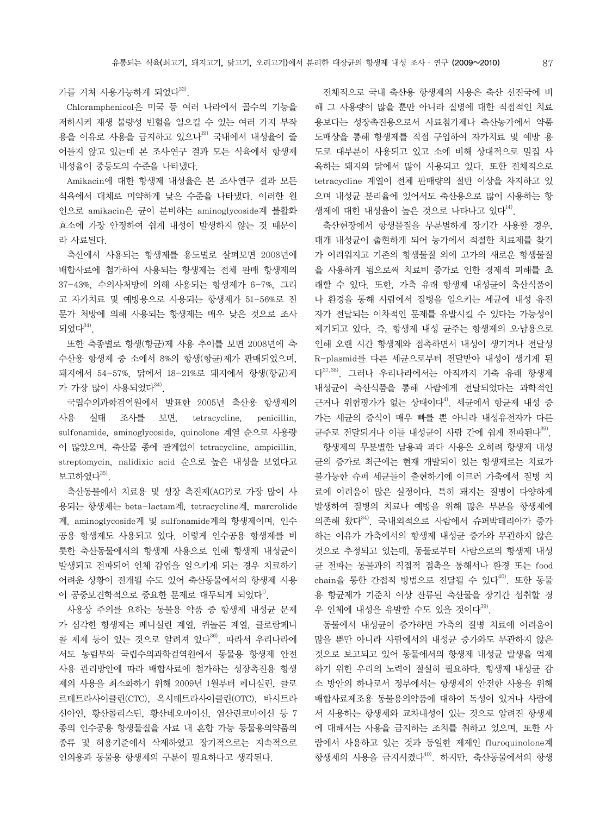가를 거쳐 사용가능하게 되었다 $^{33}$ .

 Chloramphenicol은 미국 등 여러 나라에서 골수의 기능을 저하시켜 재생 불량성 빈혈을 일으킬 수 있는 여러 가지 부작 용을 이유로 사용을 금지하고 있으나<sup>19)</sup> 국내에서 내성율이 줄 어들지 않고 있는데 본 조사․연구 결과 모든 식육에서 항생제 내성율이 중등도의 수준을 나타냈다.

Amikacin에 대한 항생제 내성율은 본 조사 연구 결과 모든 식육에서 대체로 미약하게 낮은 수준을 나타냈다. 이러한 원 인으로 amikacin은 균이 분비하는 aminoglycoside계 불활화 효소에 가장 안정하여 쉽게 내성이 발생하지 않는 것 때문이 라 사료된다.

 축산에서 사용되는 항생제를 용도별로 살펴보면 2008년에 배합사료에 첨가하여 사용되는 항생제는 전체 판매 항생제의 37-43%, 수의사처방에 의해 사용되는 항생제가 6-7%, 그리 고 자가치료 및 예방용으로 사용되는 항생제가 51-56%로 전 문가 처방에 의해 사용되는 항생제는 매우 낮은 것으로 조사 되었다 $34$ ).

 또한 축종별로 항생(항균)제 사용 추이를 보면 2008년에 축․ 수산용 항생제 중 소에서 8%의 항생(항균)제가 판매되었으며, 돼지에서 54-57%, 닭에서 18-21%로 돼지에서 항생(항균)제 가 가장 많이 사용되었다 $^{34)}$ .

 국립수의과학검역원에서 발표한 2005년 축산용 항생제의 사용 실태 조사를 보면, tetracycline, penicillin, sulfonamide, aminoglycoside, quinolone 계열 순으로 사용량 이 많았으며, 축산물 종에 관계없이 tetracycline, ampicillin, streptomycin, nalidixic acid 순으로 높은 내성을 보였다고 보고하였다 $35$ )

 축산동물에서 치료용 및 성장 촉진제(AGP)로 가장 많이 사 용되는 항생제는 beta-lactam계, tetracycline계, marcrolide 계, aminoglycoside계 및 sulfonamide계의 항생제이며, 인수 공용 항생제도 사용되고 있다. 이렇게 인수공용 항생제를 비 롯한 축산동물에서의 항생제 사용으로 인해 항생제 내성균이 발생되고 전파되어 인체 감염을 일으키게 되는 경우 치료하기 어려운 상황이 전개될 수도 있어 축산동물에서의 항생제 사용 이 공중보건학적으로 중요한 문제로 대두되게 되었다<sup>1)</sup>.

 사용상 주의를 요하는 동물용 약품 중 항생제 내성균 문제 가 심각한 항생제는 페니실린 계열, 퀴놀론 계열, 클로람페니 콜 제제 등이 있는 것으로 알려져 있다<sup>36)</sup>. 따라서 우리나라에 서도 농림부와 국립수의과학검역원에서 동물용 항생제 안전 사용 관리방안에 따라 배합사료에 첨가하는 성장촉진용 항생 제의 사용을 최소화하기 위해 2009년 1월부터 페니실린, 클로 르테트라사이클린(CTC), 옥시테트라사이클린(OTC), 바시트라 신아연, 황산콜리스틴, 황산네오마이신, 염산린코마이신 등 7 종의 인수공용 항생물질을 사료 내 혼합 가능 동물용의약품의 종류 및 허용기준에서 삭제하였고 장기적으로는 지속적으로 인의용과 동물용 항생제의 구분이 필요하다고 생각된다.

 전체적으로 국내 축산용 항생제의 사용은 축산 선진국에 비 해 그 사용량이 많을 뿐만 아니라 질병에 대한 직접적인 치료 용보다는 성장촉진용으로서 사료첨가제나 축산농가에서 약품 도매상을 통해 항생제를 직접 구입하여 자가치료 및 예방 용 도로 대부분이 사용되고 있고 소에 비해 상대적으로 밀집 사 육하는 돼지와 닭에서 많이 사용되고 있다. 또한 전체적으로 tetracycline 계열이 전체 판매량의 절반 이상을 차지하고 있 으며 내성균 분리율에 있어서도 축산용으로 많이 사용하는 항 생제에 대한 내성율이 높은 것으로 나타나고 있다<sup>14)</sup>.

 축산현장에서 항생물질을 무분별하게 장기간 사용할 경우, 대개 내성균이 출현하게 되어 농가에서 적절한 치료제를 찾기 가 어려워지고 기존의 항생물질 외에 고가의 새로운 항생물질 을 사용하게 됨으로써 치료비 증가로 인한 경제적 피해를 초 래할 수 있다. 또한, 가축 유래 항생제 내성균이 축산식품이 나 환경을 통해 사람에서 질병을 일으키는 세균에 내성 유전 자가 전달되는 이차적인 문제를 유발시킬 수 있다는 가능성이 제기되고 있다. 즉, 항생제 내성 균주는 항생제의 오․남용으로 인해 오랜 시간 항생제와 접촉하면서 내성이 생기거나 전달성 R-plasmid를 다른 세균으로부터 전달받아 내성이 생기게 된 다37,38). 그러나 우리나라에서는 아직까지 가축 유래 항생제 내성균이 축산식품을 통해 사람에게 전달되었다는 과학적인 근거나 위험평가가 없는 상태이다<sup>4)</sup>. 세균에서 항균제 내성 증 가는 세균의 증식이 매우 빠를 뿐 아니라 내성유전자가 다른 균주로 전달되거나 이들 내성균이 사람 간에 쉽게 전파된다<sup>39)</sup>.

 항생제의 무분별한 남용과 과다 사용은 오히려 항생제 내성 균의 증가로 최근에는 현재 개발되어 있는 항생제로는 치료가 불가능한 슈퍼 세균들이 출현하기에 이르러 가축에서 질병 치 료에 어려움이 많은 실정이다. 특히 돼지는 질병이 다양하게 발생하여 질병의 치료나 예방을 위해 많은 부분을 항생제에 의존해 왔다 $^{34}$ . 국내외적으로 사람에서 슈퍼박테리아가 증가 하는 이유가 가축에서의 항생제 내성균 증가와 무관하지 않은 것으로 추정되고 있는데, 동물로부터 사람으로의 항생제 내성 균 전파는 동물과의 직접적 접촉을 통해서나 환경 또는 food chain을 통한 가접적 방법으로 전달될 수 있다<sup>40)</sup>. 또한 동물 용 항균제가 기준치 이상 잔류된 축산물을 장기간 섭취할 경 우 인체에 내성을 유발할 수도 있을 것이다<sup>39)</sup>.

 동물에서 내성균이 증가하면 가축의 질병 치료에 어려움이 많을 뿐만 아니라 사람에서의 내성균 증가와도 무관하지 않은 것으로 보고되고 있어 동물에서의 항생제 내성균 발생을 억제 하기 위한 우리의 노력이 절실히 필요하다. 항생제 내성균 감 소 방안의 하나로서 정부에서는 항생제의 안전한 사용을 위해 배합사료제조용 동물용의약품에 대하여 독성이 있거나 사람에 서 사용하는 항생제와 교차내성이 있는 것으로 알려진 항생제 에 대해서는 사용을 금지하는 조치를 취하고 있으며, 또한 사 람에서 사용하고 있는 것과 동일한 제제인 fluroquinolone계 항생제의 사용을 금지시켰다<sup>40)</sup>. 하지만, 축산동물에서의 항생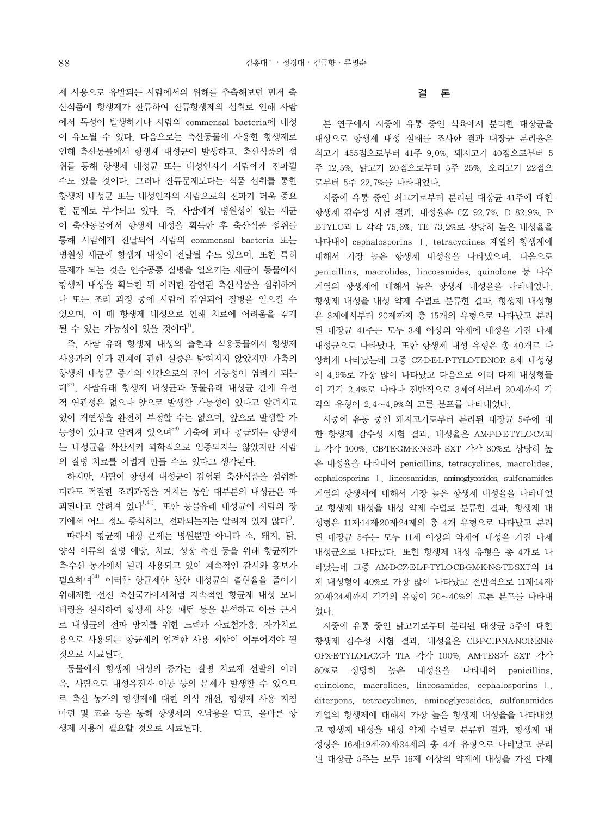제 사용으로 유발되는 사람에서의 위해를 추측해보면 먼저 축 산식품에 항생제가 잔류하여 잔류항생제의 섭취로 인해 사람 에서 독성이 발생하거나 사람의 commensal bacteria에 내성 이 유도될 수 있다. 다음으로는 축산동물에 사용한 항생제로 인해 축산동물에서 항생제 내성균이 발생하고, 축산식품의 섭 취를 통해 항생제 내성균 또는 내성인자가 사람에게 전파될 수도 있을 것이다. 그러나 잔류문제보다는 식품 섭취를 통한 항생제 내성균 또는 내성인자의 사람으로의 전파가 더욱 중요 한 문제로 부각되고 있다. 즉, 사람에게 병원성이 없는 세균 이 축산동물에서 항생제 내성을 획득한 후 축산식품 섭취를 통해 사람에게 전달되어 사람의 commensal bacteria 또는 병원성 세균에 항생제 내성이 전달될 수도 있으며, 또한 특히 문제가 되는 것은 인수공통 질병을 일으키는 세균이 동물에서 항생제 내성을 획득한 뒤 이러한 감염된 축산식품을 섭취하거 나 또는 조리 과정 중에 사람에 감염되어 질병을 일으킬 수 있으며, 이 때 항생제 내성으로 인해 치료에 어려움을 겪게 될 수 있는 가능성이 있을 것이다 $^{\text{1)}}$ .

 즉, 사람 유래 항생제 내성의 출현과 식용동물에서 항생제 사용과의 인과 관계에 관한 실증은 밝혀지지 않았지만 가축의 항생제 내성균 증가와 인간으로의 전이 가능성이 염려가 되는 데37), 사람유래 항생제 내성균과 동물유래 내성균 간에 유전 적 연관성은 없으나 앞으로 발생할 가능성이 있다고 알려지고 있어 개연성을 완전히 부정할 수는 없으며, 앞으로 발생할 가 능성이 있다고 알려져 있으며36) 가축에 과다 공급되는 항생제 는 내성균을 확산시켜 과학적으로 입증되지는 않았지만 사람 의 질병 치료를 어렵게 만들 수도 있다고 생각된다.

 하지만, 사람이 항생제 내성균이 감염된 축산식품을 섭취하 더라도 적절한 조리과정을 거치는 동안 대부분의 내성균은 파 괴된다고 알려져 있다<sup>1,41)</sup>. 또한 동물유래 내성균이 사람의 장 기에서 어느 정도 증식하고, 전파되는지는 알려져 있지 않다<sup>1)</sup>. 따라서 항균제 내성 문제는 병원뿐만 아니라 소, 돼지, 닭, 양식 어류의 질병 예방, 치료, 성장 촉진 등을 위해 항균제가 축․수산 농가에서 널리 사용되고 있어 계속적인 감시와 홍보가 필요하며34) 이러한 항균제한 항한 내성균의 출현율을 줄이기 위해제한 선진 축산국가에서처럼 지속적인 항균제 내성 모니 터링을 실시하여 항생제 사용 패턴 등을 분석하고 이를 근거 로 내성균의 전파 방지를 위한 노력과 사료첨가용, 자가치료 용으로 사용되는 항균제의 엄격한 사용 제한이 이루어져야 될 것으로 사료된다.

 동물에서 항생제 내성의 증가는 질병 치료제 선발의 어려 움, 사람으로 내성유전자 이동 등의 문제가 발생할 수 있으므 로 축산 농가의 항생제에 대한 의식 개선, 항생제 사용 지침 마련 및 교육 등을 통해 항생제의 오남용을 막고, 올바른 항 생제 사용이 필요할 것으로 사료된다.

### 결 론

 본 연구에서 시중에 유통 중인 식육에서 분리한 대장균을 대상으로 항생제 내성 실태를 조사한 결과 대장균 분리율은 쇠고기 455점으로부터 41주 9.0%, 돼지고기 40점으로부터 5 주 12.5%, 닭고기 20점으로부터 5주 25%, 오리고기 22점으 로부터 5주 22.7%를 나타내었다.

 시중에 유통 중인 쇠고기로부터 분리된 대장균 41주에 대한 항생제 감수성 시험 결과, 내성율은 CZ 92.7%, D 82.9%, P․ E․TYLO과 L 각각 75.6%, TE 73.2%로 상당히 높은 내성율을 나타내어 cephalosporins Ⅰ, tetracyclines 계열의 항생제에 대해서 가장 높은 항생제 내성율을 나타냈으며, 다음으로 penicillins, macrolides, lincosamides, quinolone 등 다수 계열의 항생제에 대해서 높은 항생제 내성율을 나타내었다. 항생제 내성을 내성 약제 수별로 분류한 결과, 항생제 내성형 은 3제에서부터 20제까지 총 15개의 유형으로 나타났고 분리 된 대장균 41주는 모두 3제 이상의 약제에 내성을 가진 다제 내성균으로 나타났다. 또한 항생제 내성 유형은 총 40개로 다 양하게 나타났는데 그중 CZ·DEL·PTYLOTE·NOR 8제 내성형 이 4.9%로 가장 많이 나타났고 다음으로 여러 다제 내성형들 이 각각 2.4%로 나타나 전반적으로 3제에서부터 20제까지 각 각의 유형이 2.4∼4.9%의 고른 분포를 나타내었다.

 시중에 유통 중인 돼지고기로부터 분리된 대장균 5주에 대 한 항생제 감수성 시험 결과, 내성율은 AM·P·D·E·TYLO·CZ과 L 각각 100%, CB·TE·GM·K·N·S과 SXT 각각 80%로 상당히 높 은 내성율을 나타내어 penicillins, tetracyclines, macrolides, cephalosporins Ⅰ, lincosamides, aminoglycosides, sulfonamides 계열의 항생제에 대해서 가장 높은 항생제 내성율을 나타내었 고 항생제 내성을 내성 약제 수별로 분류한 결과, 항생제 내 성형은 11제․14제․20제․24제의 총 4개 유형으로 나타났고 분리 된 대장균 5주는 모두 11제 이상의 약제에 내성을 가진 다제 내성균으로 나타났다. 또한 항생제 내성 유형은 총 4개로 나 타났는데 그중 AMDCZ·EL·PTYLOCBGM·K·N·S·TE·SXT의 14 제 내성형이 40%로 가장 많이 나타났고 전반적으로 11제․14제․ 20제․24제까지 각각의 유형이 20∼40%의 고른 분포를 나타내 었다.

 시중에 유통 중인 닭고기로부터 분리된 대장균 5주에 대한 항생제 감수성 시험 결과, 내성율은 CB-PCIP-NA-NOR-ENR-OFX․E․TYLO․L․CZ과 TIA 각각 100%, AM․TE․S과 SXT 각각 80%로 상당히 높은 내성율을 나타내어 penicillins, quinolone, macrolides, lincosamides, cephalosporins Ⅰ, diterpons, tetracyclines, aminoglycosides, sulfonamides 계열의 항생제에 대해서 가장 높은 항생제 내성율을 나타내었 고 항생제 내성을 내성 약제 수별로 분류한 결과, 항생제 내 성형은 16제․19제․20제․24제의 총 4개 유형으로 나타났고 분리 된 대장균 5주는 모두 16제 이상의 약제에 내성을 가진 다제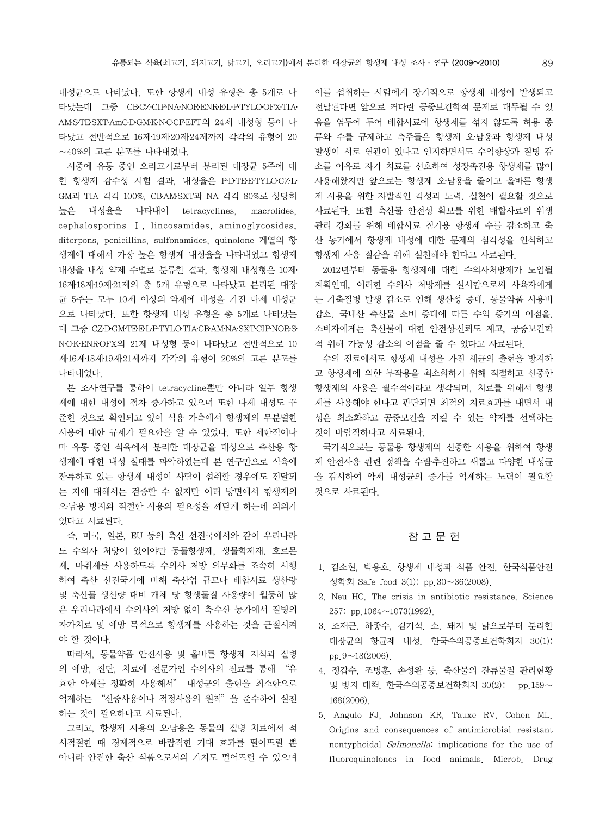내성균으로 나타났다. 또한 항생제 내성 유형은 총 5개로 나 타났는데 그중 CBCZ・CIP·NA・NOR·ENR·EL·P·TYLO·OFX·TIA· AM․S․TE․SXT․AmC․D․GM․K․N․C․CF․EFT의 24제 내성형 등이 나 타났고 전반적으로 16제․19제․20제․24제까지 각각의 유형이 20 ∼40%의 고른 분포를 나타내었다.

 시중에 유통 중인 오리고기로부터 분리된 대장균 5주에 대 한 항생제 감수성 시험 결과, 내성율은 PDTEETYLOCZL GM과 TIA 각각 100%, CB․AM․SXT과 NA 각각 80%로 상당히 높은 내성율을 나타내어 tetracyclines, macrolides, cephalosporins Ⅰ, lincosamides, aminoglycosides, diterpons, penicillins, sulfonamides, quinolone 계열의 항 생제에 대해서 가장 높은 항생제 내성율을 나타내었고 항생제 내성을 내성 약제 수별로 분류한 결과, 항생제 내성형은 10제․ 16제․18제․19제․21제의 총 5개 유형으로 나타났고 분리된 대장 균 5주는 모두 10제 이상의 약제에 내성을 가진 다제 내성균 으로 나타났다. 또한 항생제 내성 유형은 총 5개로 나타났는 데 그중 CZ・DGM·TE·E·L-P·TYLO·TIA·CB·AM·NA·SXT·CIP·NOR·S· N․C․K․ENR․OFX의 21제 내성형 등이 나타났고 전반적으로 10 제․16제․18제․19제․21제까지 각각의 유형이 20%의 고른 분포를 나타내었다.

 본 조사․연구를 통하여 tetracycline뿐만 아니라 일부 항생 제에 대한 내성이 점차 증가하고 있으며 또한 다제 내성도 꾸 준한 것으로 확인되고 있어 식용 가축에서 항생제의 무분별한 사용에 대한 규제가 필요함을 알 수 있었다. 또한 제한적이나 마 유통 중인 식육에서 분리한 대장균을 대상으로 축산용 항 생제에 대한 내성 실태를 파악하였는데 본 연구만으로 식육에 잔류하고 있는 항생제 내성이 사람이 섭취할 경우에도 전달되 는 지에 대해서는 검증할 수 없지만 여러 방면에서 항생제의 오․남용 방지와 적절한 사용의 필요성을 깨닫게 하는데 의의가 있다고 사료된다.

 즉, 미국, 일본, EU 등의 축산 선진국에서와 같이 우리나라 도 수의사 처방이 있어야만 동물항생제, 생물학제재, 호르몬 제, 마취제를 사용하도록 수의사 처방 의무화를 조속히 시행 하여 축산 선진국가에 비해 축산업 규모나 배합사료 생산량 및 축산물 생산량 대비 개체 당 항생물질 사용량이 월등히 많 은 우리나라에서 수의사의 처방 없이 축․수산 농가에서 질병의 자가치료 및 예방 목적으로 항생제를 사용하는 것을 근절시켜 야 할 것이다.

 따라서, 동물약품 안전사용 및 올바른 항생제 지식과 질병 의 예방, 진단, 치료에 전문가인 수의사의 진료를 통해 "유 효한 약제를 정확히 사용해서" 내성균의 출현을 최소한으로 억제하는 "신중사용이나 적정사용의 원칙"을 준수하여 실천 하는 것이 필요하다고 사료된다.

 그리고, 항생제 사용의 오․남용은 동물의 질병 치료에서 적 시적절한 때 경제적으로 바람직한 기대 효과를 떨어뜨릴 뿐 아니라 안전한 축산 식품으로서의 가치도 떨어뜨릴 수 있으며 이를 섭취하는 사람에게 장기적으로 항생제 내성이 발생되고 전달된다면 앞으로 커다란 공중보건학적 문제로 대두될 수 있 음을 염두에 두어 배합사료에 항생제를 섞지 않도록 허용 종 류와 수를 규제하고 축주들은 항생제 오․남용과 항생제 내성 발생이 서로 연관이 있다고 인지하면서도 수익향상과 질병 감 소를 이유로 자가 치료를 선호하여 성장촉진용 항생제를 많이 사용해왔지만 앞으로는 항생제 오․남용을 줄이고 올바른 항생 제 사용을 위한 자발적인 각성과 노력, 실천이 필요할 것으로 사료된다. 또한 축산물 안전성 확보를 위한 배합사료의 위생 관리 강화를 위해 배합사료 첨가용 항생제 수를 감소하고 축 산 농가에서 항생제 내성에 대한 문제의 심각성을 인식하고 항생제 사용 절감을 위해 실천해야 한다고 사료된다.

 2012년부터 동물용 항생제에 대한 수의사처방제가 도입될 계획인데, 이러한 수의사 처방제를 실시함으로써 사육자에게 는 가축질병 발생 감소로 인해 생산성 증대, 동물약품 사용비 감소, 국내산 축산물 소비 증대에 따른 수익 증가의 이점을, 소비자에게는 축산물에 대한 안전성․신뢰도 제고, 공중보건학 적 위해 가능성 감소의 이점을 줄 수 있다고 사료된다.

 수의 진료에서도 항생제 내성을 가진 세균의 출현을 방지하 고 항생제에 의한 부작용을 최소화하기 위해 적절하고 신중한 항생제의 사용은 필수적이라고 생각되며, 치료를 위해서 항생 제를 사용해야 한다고 판단되면 최적의 치료효과를 내면서 내 성은 최소화하고 공중보건을 지킬 수 있는 약제를 선택하는 것이 바람직하다고 사료된다.

 국가적으로는 동물용 항생제의 신중한 사용을 위하여 항생 제 안전사용 관련 정책을 수립·추진하고 새롭고 다양한 내성균 을 감시하여 약제 내성균의 증가를 억제하는 노력이 필요할 것으로 사료된다.

### 참 고 문 헌

- 1. 김소현, 박용호. 항생제 내성과 식품 안전. 한국식품안전 성학회 Safe food 3(1): pp.30∼36(2008).
- 2. Neu HC. The crisis in antibiotic resistance. Science 257: pp.1064∼1073(1992).
- 3. 조재근, 하종수, 김기석. 소, 돼지 및 닭으로부터 분리한 대장균의 항균제 내성. 한국수의공중보건학회지 30(1): pp.9∼18(2006).
- 4. 정갑수, 조병훈, 손성완 등. 축산물의 잔류물질 관리현황 및 방지 대책. 한국수의공중보건학회지 30(2): pp.159∼ 168(2006).
- 5. Angulo FJ, Johnson KR, Tauxe RV, Cohen ML. Origins and consequences of antimicrobial resistant nontyphoidal Salmonella: implications for the use of fluoroquinolones in food animals. Microb. Drug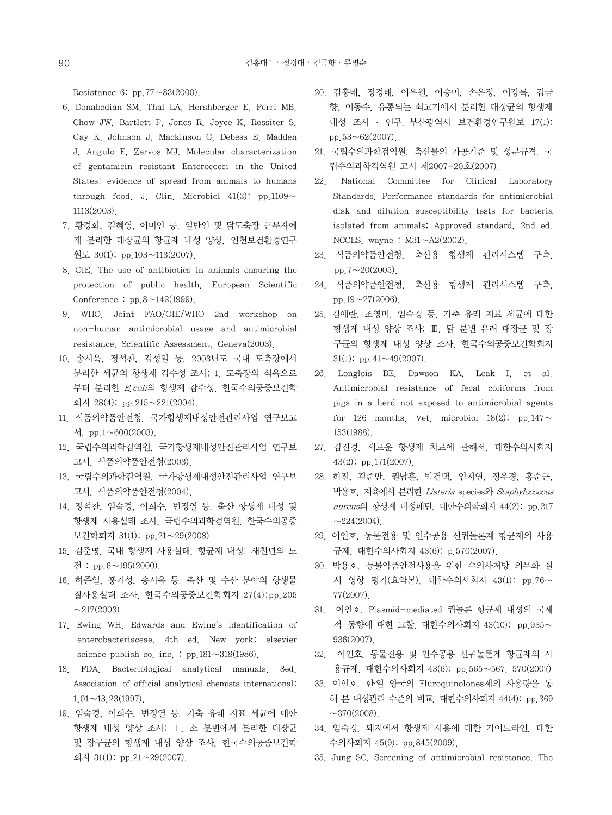Resistance 6: pp.77∼83(2000).

- 6. Donabedian SM, Thal LA, Hershberger E, Perri MB, Chow JW, Bartlett P, Jones R, Joyce K, Rossiter S, Gay K, Johnson J, Mackinson C, Debess E, Madden J, Angulo F, Zervos MJ. Molecular characterization of gentamicin resistant Enterococci in the United States: evidence of spread from animals to humans through food. J. Clin. Microbiol 41(3): pp.1109∼ 1113(2003).
- 7. 황경화, 김혜영, 이미연 등. 일반인 및 닭도축장 근무자에 게 분리한 대장균의 항균제 내성 양상. 인천보건환경연구 원보 30(1): pp.103∼113(2007).
- 8. OIE. The use of antibiotics in animals ensuring the protection of public health. European Scientific Conference : pp.8∼142(1999).
- 9. WHO. Joint FAO/OIE/WHO 2nd workshop on non-human antimicrobial usage and antimicrobial resistance, Scientific Assessment, Geneva(2003).
- 10. 송시욱, 정석찬, 김성일 등. 2003년도 국내 도축장에서 분리한 세균의 항생제 감수성 조사; 1. 도축장의 식육으로 부터 분리한 E.coli의 항생제 감수성. 한국수의공중보건학 회지 28(4): pp.215∼221(2004).
- 11. 식품의약품안전청. 국가항생제내성안전관리사업 연구보고 서. pp.1∼600(2003).
- 12. 국립수의과학검역원. 국가항생제내성안전관리사업 연구보 고서. 식품의약품안전청(2003).
- 13. 국립수의과학검역원. 국가항생제내성안전관리사업 연구보 고서. 식품의약품안전청(2004).
- 14. 정석찬, 임숙경, 이희수, 변정열 등. 축산 항생제 내성 및 항생제 사용실태 조사. 국립수의과학검역원. 한국수의공중 보건학회지 31(1): pp.21∼29(2008)
- 15. 김준명. 국내 항생제 사용실태. 항균제 내성: 새천년의 도 전 : pp.6∼195(2000).
- 16. 하준일, 홍기성, 송시욱 등. 축산 및 수산 분야의 항생물 질사용실태 조사. 한국수의공중보건학회지 27(4):pp.205  $~217(2003)$
- 17. Ewing WH. Edwards and Ewing's identification of enterobacteriaceae. 4th ed. New york: elsevier science publish co. inc. : pp.181∼318(1986).
- 18. FDA. Bacteriological analytical manuals. 8ed. Association of official analytical chemists international: 1.01∼13.23(1997).
- 19. 임숙경, 이희수, 변정열 등. 가축 유래 지표 세균에 대한 항생제 내성 양상 조사; Ⅰ. 소 분변에서 분리한 대장균 및 장구균의 항생제 내성 양상 조사. 한국수의공중보건학 회지 31(1): pp.21∼29(2007).
- 20. 김홍태, 정경태, 이우원, 이승미, 손은정, 이강록, 김금 향, 이동수. 유통되는 쇠고기에서 분리한 대장균의 항생제 내성 조사 ․ 연구. 부산광역시 보건환경연구원보 17(1): pp.53∼62(2007).
- 21. 국립수의과학검역원. 축산물의 가공기준 및 성분규격. 국 립수의과학검역원 고시 제2007-20호(2007).
- 22. National Committee for Clinical Laboratory Standards. Performance standards for antimicrobial disk and dilution susceptibility tests for bacteria isolated from animals; Approved standard, 2nd ed. NCCLS. wayne : M31∼A2(2002).
- 23. 식품의약품안전청. 축산용 항생제 관리시스템 구축. pp.7∼20(2005).
- 24. 식품의약품안전청. 축산용 항생제 관리시스템 구축. pp.19∼27(2006).
- 25. 김애란, 조영미, 임숙경 등. 가축 유래 지표 세균에 대한 항생제 내성 양상 조사; Ⅲ. 닭 분변 유래 대장균 및 장 구균의 항생제 내성 양상 조사. 한국수의공중보건학회지 31(1): pp.41∼49(2007).
- 26. Longlois BE, Dawson KA, Leak I, et al. Antimicrobial resistance of fecal coliforms from pigs in a herd not exposed to antimicrobial agents for 126 months. Vet. microbiol 18(2): pp.147∼ 153(1988).
- 27. 김진경. 새로운 항생제 치료에 관해서. 대한수의사회지 43(2): pp.171(2007).
- 28. 허진, 김준만, 권남훈, 박건택, 임지연, 정우경, 홍순근, 박용호. 계육에서 분리한 Listeria species와 Staphylococcus aureus의 항생제 내성패턴. 대한수의학회지 44(2): pp.217  $~224(2004)$ .
- 29. 이인호. 동물전용 및 인수공용 신퀴놀론계 항균제의 사용 규제. 대한수의사회지 43(6): p.570(2007).
- 30. 박용호. 동물약품안전사용을 위한 수의사처방 의무화 실 시 영향 평가(요약본). 대한수의사회지 43(1): pp.76∼ 77(2007).
- 31. 이인호. Plasmid-mediated 퀴놀론 항균제 내성의 국제 적 동향에 대한 고찰. 대한수의사회지 43(10): pp.935∼ 936(2007).
- 32. 이인호. 동물전용 및 인수공용 신퀴놀론계 항균제의 사 용규제. 대한수의사회지 43(6): pp.565∼567, 570(2007)
- 33. 이인호. 한일 양국의 Fluroquinolones제의 사용량을 통 해 본 내성관리 수준의 비교. 대한수의사회지 44(4): pp.369  $~\sim$ 370(2008).
- 34. 임숙경. 돼지에서 항생제 사용에 대한 가이드라인. 대한 수의사회지 45(9): pp.845(2009).
- 35. Jung SC. Screening of antimicrobial resistance. The